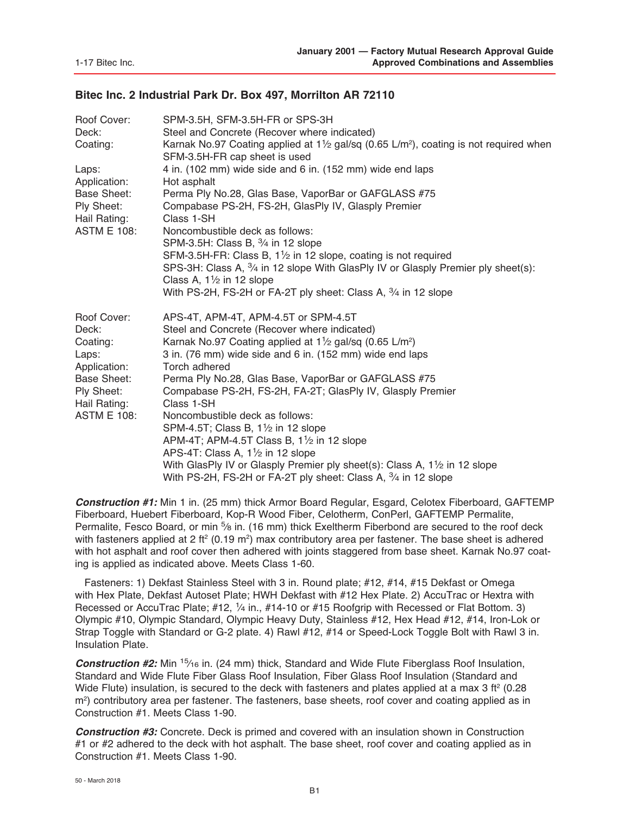### **Bitec Inc. 2 Industrial Park Dr. Box 497, Morrilton AR 72110**

| Roof Cover:<br>Deck:<br>Coating:<br>Laps:<br>Application:                                                                           | SPM-3.5H, SFM-3.5H-FR or SPS-3H<br>Steel and Concrete (Recover where indicated)<br>Karnak No.97 Coating applied at $1\frac{1}{2}$ gal/sq (0.65 L/m <sup>2</sup> ), coating is not required when<br>SFM-3.5H-FR cap sheet is used<br>4 in. (102 mm) wide side and 6 in. (152 mm) wide end laps<br>Hot asphalt                                                                                                                                                                                                                                                                                                                                                                                                                                                     |
|-------------------------------------------------------------------------------------------------------------------------------------|------------------------------------------------------------------------------------------------------------------------------------------------------------------------------------------------------------------------------------------------------------------------------------------------------------------------------------------------------------------------------------------------------------------------------------------------------------------------------------------------------------------------------------------------------------------------------------------------------------------------------------------------------------------------------------------------------------------------------------------------------------------|
| <b>Base Sheet:</b><br>Ply Sheet:<br>Hail Rating:<br><b>ASTM E 108:</b>                                                              | Perma Ply No.28, Glas Base, VaporBar or GAFGLASS #75<br>Compabase PS-2H, FS-2H, GlasPly IV, Glasply Premier<br>Class 1-SH<br>Noncombustible deck as follows:<br>SPM-3.5H: Class B, 3/4 in 12 slope<br>SFM-3.5H-FR: Class B, 1 <sup>1</sup> / <sub>2</sub> in 12 slope, coating is not required<br>SPS-3H: Class A, 3/4 in 12 slope With GlasPly IV or Glasply Premier ply sheet(s):<br>Class A, $1\frac{1}{2}$ in 12 slope<br>With PS-2H, FS-2H or FA-2T ply sheet: Class A, 3/4 in 12 slope                                                                                                                                                                                                                                                                     |
| Roof Cover:<br>Deck:<br>Coating:<br>Laps:<br>Application:<br><b>Base Sheet:</b><br>Ply Sheet:<br>Hail Rating:<br><b>ASTM E 108:</b> | APS-4T, APM-4T, APM-4.5T or SPM-4.5T<br>Steel and Concrete (Recover where indicated)<br>Karnak No.97 Coating applied at $1\frac{1}{2}$ gal/sq (0.65 L/m <sup>2</sup> )<br>3 in. (76 mm) wide side and 6 in. (152 mm) wide end laps<br>Torch adhered<br>Perma Ply No.28, Glas Base, VaporBar or GAFGLASS #75<br>Compabase PS-2H, FS-2H, FA-2T; GlasPly IV, Glasply Premier<br>Class 1-SH<br>Noncombustible deck as follows:<br>SPM-4.5T; Class B, 11/2 in 12 slope<br>APM-4T; APM-4.5T Class B, $1\frac{1}{2}$ in 12 slope<br>APS-4T: Class A, 1 <sup>1</sup> / <sub>2</sub> in 12 slope<br>With GlasPly IV or Glasply Premier ply sheet(s): Class A, 1 <sup>1</sup> / <sub>2</sub> in 12 slope<br>With PS-2H, FS-2H or FA-2T ply sheet: Class A, 3/4 in 12 slope |

*Construction #1:* Min 1 in. (25 mm) thick Armor Board Regular, Esgard, Celotex Fiberboard, GAFTEMP Fiberboard, Huebert Fiberboard, Kop-R Wood Fiber, Celotherm, ConPerl, GAFTEMP Permalite, Permalite, Fesco Board, or min <sup>5</sup>/8 in. (16 mm) thick Exeltherm Fiberbond are secured to the roof deck with fasteners applied at 2 ft² (0.19 m²) max contributory area per fastener. The base sheet is adhered with hot asphalt and roof cover then adhered with joints staggered from base sheet. Karnak No.97 coating is applied as indicated above. Meets Class 1-60.

 Fasteners: 1) Dekfast Stainless Steel with 3 in. Round plate; #12, #14, #15 Dekfast or Omega with Hex Plate, Dekfast Autoset Plate; HWH Dekfast with #12 Hex Plate. 2) AccuTrac or Hextra with Recessed or AccuTrac Plate; #12, 1/4 in., #14-10 or #15 Roofgrip with Recessed or Flat Bottom. 3) Olympic #10, Olympic Standard, Olympic Heavy Duty, Stainless #12, Hex Head #12, #14, Iron-Lok or Strap Toggle with Standard or G-2 plate. 4) Rawl #12, #14 or Speed-Lock Toggle Bolt with Rawl 3 in. Insulation Plate.

*Construction #2:* Min 15⁄16 in. (24 mm) thick, Standard and Wide Flute Fiberglass Roof Insulation, Standard and Wide Flute Fiber Glass Roof Insulation, Fiber Glass Roof Insulation (Standard and Wide Flute) insulation, is secured to the deck with fasteners and plates applied at a max 3 ft<sup>2</sup> (0.28 m<sup>2</sup>) contributory area per fastener. The fasteners, base sheets, roof cover and coating applied as in Construction #1. Meets Class 1-90.

*Construction #3:* Concrete. Deck is primed and covered with an insulation shown in Construction #1 or #2 adhered to the deck with hot asphalt. The base sheet, roof cover and coating applied as in Construction #1. Meets Class 1-90.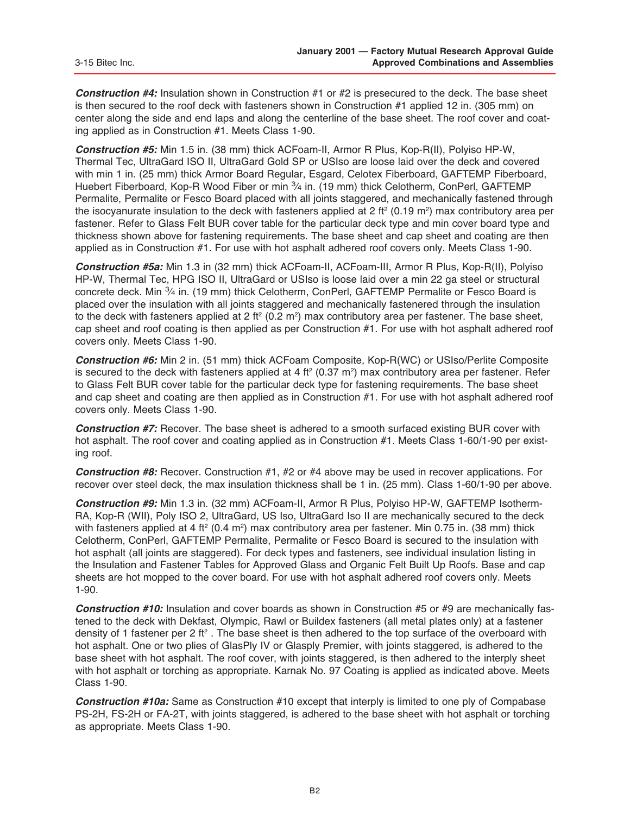*Construction #4:* Insulation shown in Construction #1 or #2 is presecured to the deck. The base sheet is then secured to the roof deck with fasteners shown in Construction #1 applied 12 in. (305 mm) on center along the side and end laps and along the centerline of the base sheet. The roof cover and coating applied as in Construction #1. Meets Class 1-90.

*Construction #5:* Min 1.5 in. (38 mm) thick ACFoam-II, Armor R Plus, Kop-R(II), Polyiso HP-W, Thermal Tec, UltraGard ISO II, UltraGard Gold SP or USIso are loose laid over the deck and covered with min 1 in. (25 mm) thick Armor Board Regular, Esgard, Celotex Fiberboard, GAFTEMP Fiberboard, Huebert Fiberboard, Kop-R Wood Fiber or min 3/4 in. (19 mm) thick Celotherm, ConPerl, GAFTEMP Permalite, Permalite or Fesco Board placed with all joints staggered, and mechanically fastened through the isocyanurate insulation to the deck with fasteners applied at 2 ft<sup>2</sup> (0.19 m<sup>2</sup>) max contributory area per fastener. Refer to Glass Felt BUR cover table for the particular deck type and min cover board type and thickness shown above for fastening requirements. The base sheet and cap sheet and coating are then applied as in Construction #1. For use with hot asphalt adhered roof covers only. Meets Class 1-90.

*Construction #5a:* Min 1.3 in (32 mm) thick ACFoam-II, ACFoam-III, Armor R Plus, Kop-R(II), Polyiso HP-W, Thermal Tec, HPG ISO II, UltraGard or USIso is loose laid over a min 22 ga steel or structural concrete deck. Min  $\frac{3}{4}$  in. (19 mm) thick Celotherm, ConPerl, GAFTEMP Permalite or Fesco Board is placed over the insulation with all joints staggered and mechanically fastenered through the insulation to the deck with fasteners applied at 2 ft<sup>2</sup> (0.2 m<sup>2</sup>) max contributory area per fastener. The base sheet, cap sheet and roof coating is then applied as per Construction #1. For use with hot asphalt adhered roof covers only. Meets Class 1-90.

*Construction #6:* Min 2 in. (51 mm) thick ACFoam Composite, Kop-R(WC) or USIso/Perlite Composite is secured to the deck with fasteners applied at 4 ft<sup>2</sup> (0.37 m<sup>2</sup>) max contributory area per fastener. Refer to Glass Felt BUR cover table for the particular deck type for fastening requirements. The base sheet and cap sheet and coating are then applied as in Construction #1. For use with hot asphalt adhered roof covers only. Meets Class 1-90.

*Construction #7:* Recover. The base sheet is adhered to a smooth surfaced existing BUR cover with hot asphalt. The roof cover and coating applied as in Construction #1. Meets Class 1-60/1-90 per existing roof.

*Construction #8:* Recover. Construction #1, #2 or #4 above may be used in recover applications. For recover over steel deck, the max insulation thickness shall be 1 in. (25 mm). Class 1-60/1-90 per above.

*Construction #9:* Min 1.3 in. (32 mm) ACFoam-II, Armor R Plus, Polyiso HP-W, GAFTEMP Isotherm-RA, Kop-R (WII), Poly ISO 2, UltraGard, US Iso, UltraGard Iso II are mechanically secured to the deck with fasteners applied at 4 ft<sup>2</sup> (0.4 m<sup>2</sup>) max contributory area per fastener. Min 0.75 in. (38 mm) thick Celotherm, ConPerl, GAFTEMP Permalite, Permalite or Fesco Board is secured to the insulation with hot asphalt (all joints are staggered). For deck types and fasteners, see individual insulation listing in the Insulation and Fastener Tables for Approved Glass and Organic Felt Built Up Roofs. Base and cap sheets are hot mopped to the cover board. For use with hot asphalt adhered roof covers only. Meets 1-90.

*Construction #10:* Insulation and cover boards as shown in Construction #5 or #9 are mechanically fastened to the deck with Dekfast, Olympic, Rawl or Buildex fasteners (all metal plates only) at a fastener density of 1 fastener per 2 ft<sup>2</sup>. The base sheet is then adhered to the top surface of the overboard with hot asphalt. One or two plies of GlasPly IV or Glasply Premier, with joints staggered, is adhered to the base sheet with hot asphalt. The roof cover, with joints staggered, is then adhered to the interply sheet with hot asphalt or torching as appropriate. Karnak No. 97 Coating is applied as indicated above. Meets Class 1-90.

*Construction #10a:* Same as Construction #10 except that interply is limited to one ply of Compabase PS-2H, FS-2H or FA-2T, with joints staggered, is adhered to the base sheet with hot asphalt or torching as appropriate. Meets Class 1-90.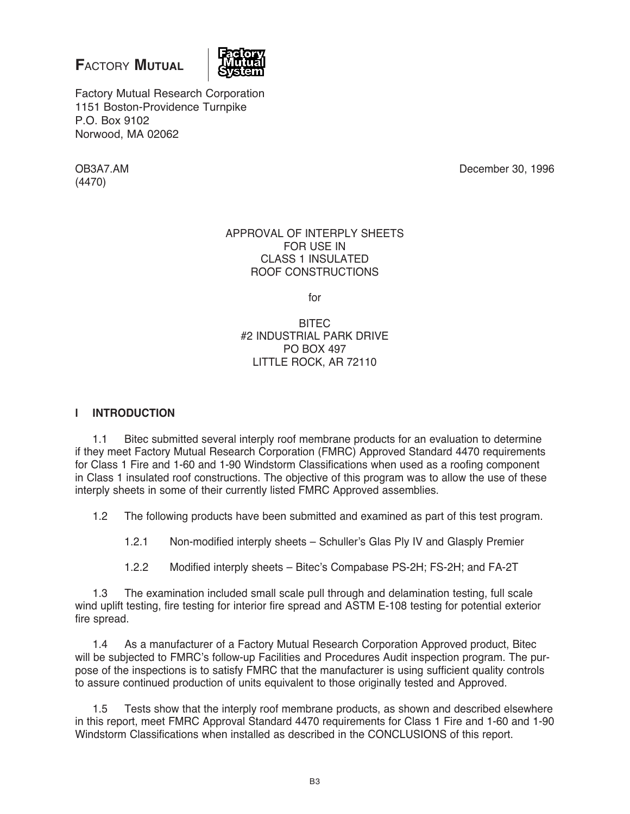# **F**actory **Mutual**



Factory Mutual Research Corporation 1151 Boston-Providence Turnpike P.O. Box 9102 Norwood, MA 02062

(4470)

OB3A7.AM December 30, 1996

### APPROVAL OF INTERPLY SHEETS FOR USE IN CLASS 1 INSULATED ROOF CONSTRUCTIONS

for

# BITEC #2 INDUSTRIAL PARK DRIVE PO BOX 497 LITTLE ROCK, AR 72110

# **l INTRODUCTION**

1.1 Bitec submitted several interply roof membrane products for an evaluation to determine if they meet Factory Mutual Research Corporation (FMRC) Approved Standard 4470 requirements for Class 1 Fire and 1-60 and 1-90 Windstorm Classifications when used as a roofing component in Class 1 insulated roof constructions. The objective of this program was to allow the use of these interply sheets in some of their currently listed FMRC Approved assemblies.

1.2 The following products have been submitted and examined as part of this test program.

1.2.1 Non-modified interply sheets – Schuller's Glas Ply IV and Glasply Premier

1.2.2 Modified interply sheets – Bitec's Compabase PS-2H; FS-2H; and FA-2T

1.3 The examination included small scale pull through and delamination testing, full scale wind uplift testing, fire testing for interior fire spread and ASTM E-108 testing for potential exterior fire spread.

1.4 As a manufacturer of a Factory Mutual Research Corporation Approved product, Bitec will be subjected to FMRC's follow-up Facilities and Procedures Audit inspection program. The purpose of the inspections is to satisfy FMRC that the manufacturer is using sufficient quality controls to assure continued production of units equivalent to those originally tested and Approved.

1.5 Tests show that the interply roof membrane products, as shown and described elsewhere in this report, meet FMRC Approval Standard 4470 requirements for Class 1 Fire and 1-60 and 1-90 Windstorm Classifications when installed as described in the CONCLUSIONS of this report.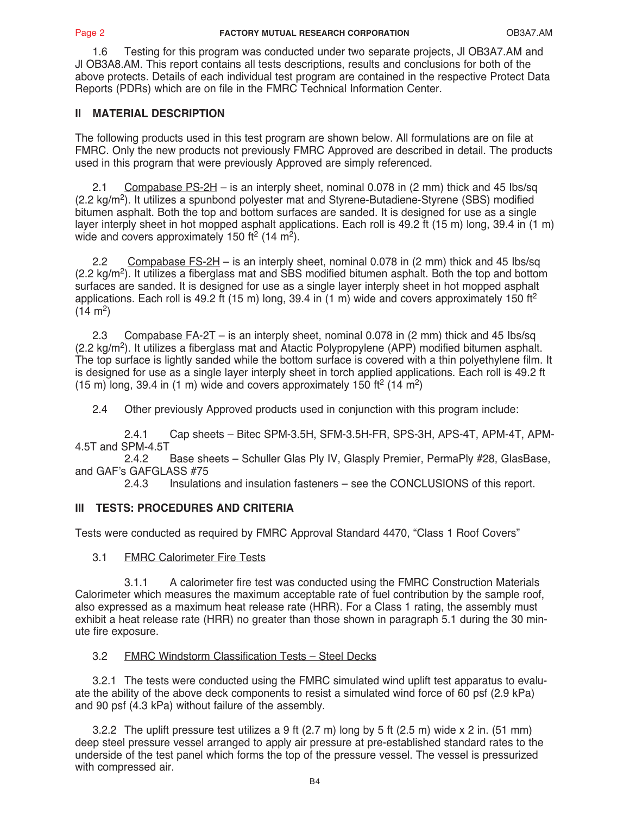1.6 Testing for this program was conducted under two separate projects, Jl OB3A7.AM and Jl OB3A8.AM. This report contains all tests descriptions, results and conclusions for both of the above protects. Details of each individual test program are contained in the respective Protect Data Reports (PDRs) which are on file in the FMRC Technical Information Center.

# **II MATERIAL DESCRIPTION**

The following products used in this test program are shown below. All formulations are on file at FMRC. Only the new products not previously FMRC Approved are described in detail. The products used in this program that were previously Approved are simply referenced.

2.1 Compabase PS-2H – is an interply sheet, nominal 0.078 in (2 mm) thick and 45 Ibs/sq  $(2.2 \text{ kg/m}^2)$ . It utilizes a spunbond polyester mat and Styrene-Butadiene-Styrene (SBS) modified bitumen asphalt. Both the top and bottom surfaces are sanded. It is designed for use as a single layer interply sheet in hot mopped asphalt applications. Each roll is 49.2 ft (15 m) long, 39.4 in (1 m) wide and covers approximately 150 ft<sup>2</sup> (14 m<sup>2</sup>).

2.2 Compabase FS-2H – is an interply sheet, nominal 0.078 in (2 mm) thick and 45 Ibs/sq  $(2.2 \text{ ka/m}^2)$ . It utilizes a fiberglass mat and SBS modified bitumen asphalt. Both the top and bottom surfaces are sanded. It is designed for use as a single layer interply sheet in hot mopped asphalt applications. Each roll is 49.2 ft (15 m) long, 39.4 in (1 m) wide and covers approximately 150 ft<sup>2</sup>  $(14 \text{ m}^2)$ 

2.3 Compabase FA-2T – is an interply sheet, nominal 0.078 in (2 mm) thick and 45 Ibs/sq (2.2 kg/m<sup>2</sup>). It utilizes a fiberglass mat and Atactic Polypropylene (APP) modified bitumen asphalt. The top surface is lightly sanded while the bottom surface is covered with a thin polyethylene film. It is designed for use as a single layer interply sheet in torch applied applications. Each roll is 49.2 ft (15 m) long, 39.4 in (1 m) wide and covers approximately 150 ft<sup>2</sup> (14 m<sup>2</sup>)

2.4 Other previously Approved products used in conjunction with this program include:

 2.4.1 Cap sheets – Bitec SPM-3.5H, SFM-3.5H-FR, SPS-3H, APS-4T, APM-4T, APM-4.5T and SPM-4.5T<br>2.4.2

 2.4.2 Base sheets – Schuller Glas Ply IV, Glasply Premier, PermaPly #28, GlasBase, and GAF's GAFGLASS  $#75$ <br>2.4.3 Insulation

Insulations and insulation fasteners – see the CONCLUSIONS of this report.

# **III TESTS: PROCEDURES AND CRITERIA**

Tests were conducted as required by FMRC Approval Standard 4470, "Class 1 Roof Covers"

3.1 FMRC Calorimeter Fire Tests

 3.1.1 A calorimeter fire test was conducted using the FMRC Construction Materials Calorimeter which measures the maximum acceptable rate of fuel contribution by the sample roof, also expressed as a maximum heat release rate (HRR). For a Class 1 rating, the assembly must exhibit a heat release rate (HRR) no greater than those shown in paragraph 5.1 during the 30 minute fire exposure.

# 3.2 FMRC Windstorm Classification Tests – Steel Decks

3.2.1 The tests were conducted using the FMRC simulated wind uplift test apparatus to evaluate the ability of the above deck components to resist a simulated wind force of 60 psf (2.9 kPa) and 90 psf (4.3 kPa) without failure of the assembly.

3.2.2 The uplift pressure test utilizes a 9 ft (2.7 m) long by 5 ft (2.5 m) wide x 2 in. (51 mm) deep steel pressure vessel arranged to apply air pressure at pre-established standard rates to the underside of the test panel which forms the top of the pressure vessel. The vessel is pressurized with compressed air.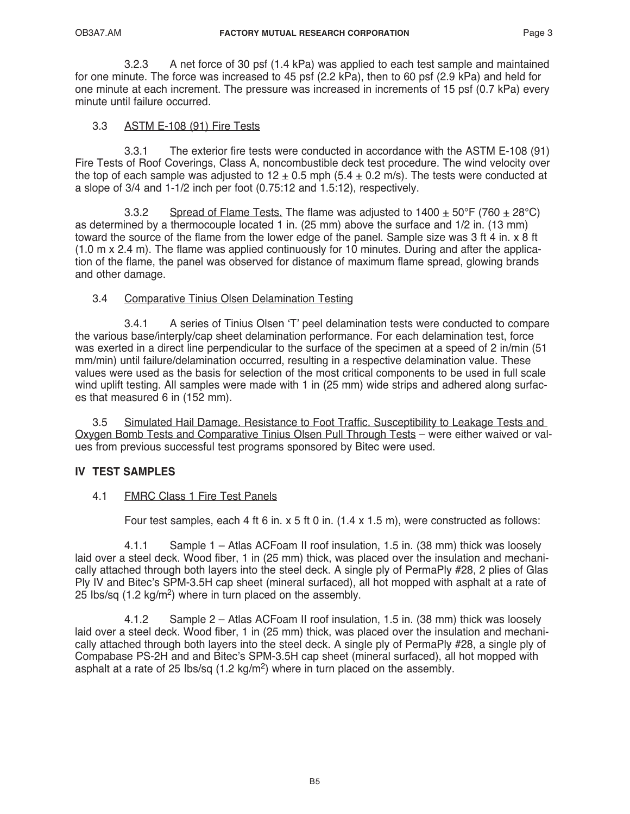3.2.3 A net force of 30 psf (1.4 kPa) was applied to each test sample and maintained for one minute. The force was increased to 45 psf (2.2 kPa), then to 60 psf (2.9 kPa) and held for one minute at each increment. The pressure was increased in increments of 15 psf (0.7 kPa) every minute until failure occurred.

# 3.3 ASTM E-108 (91) Fire Tests

 3.3.1 The exterior fire tests were conducted in accordance with the ASTM E-108 (91) Fire Tests of Roof Coverings, Class A, noncombustible deck test procedure. The wind velocity over the top of each sample was adjusted to  $12 \pm 0.5$  mph (5.4  $\pm$  0.2 m/s). The tests were conducted at a slope of 3/4 and 1-1/2 inch per foot (0.75:12 and 1.5:12), respectively.

3.3.2 Spread of Flame Tests. The flame was adjusted to  $1400 \pm 50^{\circ}$ F (760  $\pm 28^{\circ}$ C) as determined by a thermocouple located 1 in. (25 mm) above the surface and 1/2 in. (13 mm) toward the source of the flame from the lower edge of the panel. Sample size was 3 ft 4 in. x 8 ft (1.0 m x 2.4 m). The flame was applied continuously for 10 minutes. During and after the application of the flame, the panel was observed for distance of maximum flame spread, glowing brands and other damage.

# 3.4 Comparative Tinius Olsen Delamination Testing

 3.4.1 A series of Tinius Olsen 'T' peel delamination tests were conducted to compare the various base/interply/cap sheet delamination performance. For each delamination test, force was exerted in a direct line perpendicular to the surface of the specimen at a speed of 2 in/min (51 mm/min) until failure/delamination occurred, resulting in a respective delamination value. These values were used as the basis for selection of the most critical components to be used in full scale wind uplift testing. All samples were made with 1 in (25 mm) wide strips and adhered along surfaces that measured 6 in (152 mm).

3.5 Simulated Hail Damage. Resistance to Foot Traffic. Susceptibility to Leakage Tests and Oxygen Bomb Tests and Comparative Tinius Olsen Pull Through Tests – were either waived or values from previous successful test programs sponsored by Bitec were used.

### **IV TEST SAMPLES**

### 4.1 FMRC Class 1 Fire Test Panels

Four test samples, each 4 ft 6 in. x 5 ft 0 in.  $(1.4 \times 1.5 \text{ m})$ , were constructed as follows:

 4.1.1 Sample 1 – Atlas ACFoam II roof insulation, 1.5 in. (38 mm) thick was loosely laid over a steel deck. Wood fiber, 1 in (25 mm) thick, was placed over the insulation and mechanically attached through both layers into the steel deck. A single ply of PermaPly #28, 2 plies of Glas Ply IV and Bitec's SPM-3.5H cap sheet (mineral surfaced), all hot mopped with asphalt at a rate of 25 Ibs/sq  $(1.2 \text{ kg/m}^2)$  where in turn placed on the assembly.

 4.1.2 Sample 2 – Atlas ACFoam II roof insulation, 1.5 in. (38 mm) thick was loosely laid over a steel deck. Wood fiber, 1 in (25 mm) thick, was placed over the insulation and mechanically attached through both layers into the steel deck. A single ply of PermaPly #28, a single ply of Compabase PS-2H and and Bitec's SPM-3.5H cap sheet (mineral surfaced), all hot mopped with asphalt at a rate of 25 lbs/sq  $(1.2 \text{ kg/m}^2)$  where in turn placed on the assembly.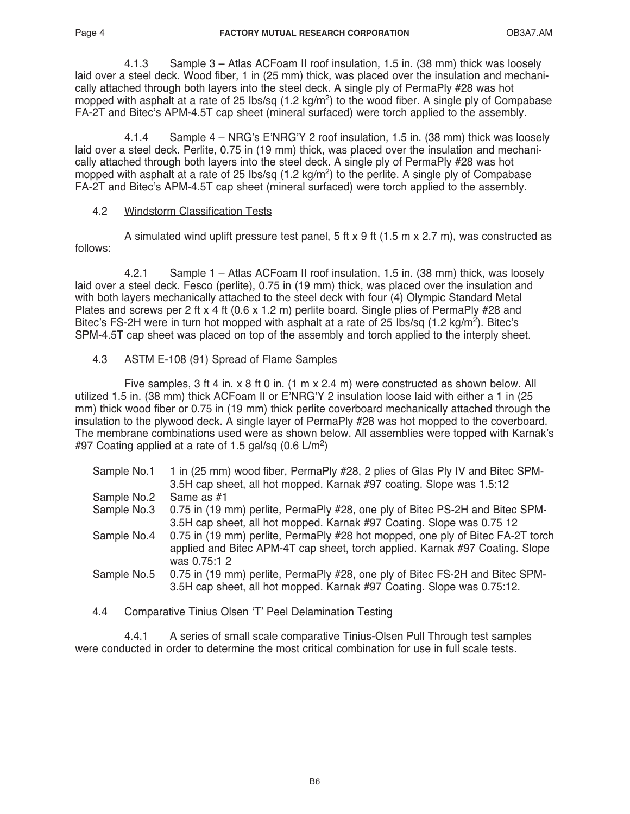4.1.3 Sample 3 – Atlas ACFoam II roof insulation, 1.5 in. (38 mm) thick was loosely laid over a steel deck. Wood fiber, 1 in (25 mm) thick, was placed over the insulation and mechanically attached through both layers into the steel deck. A single ply of PermaPly #28 was hot mopped with asphalt at a rate of 25  $\text{lbs/sg}$  (1.2 kg/m<sup>2</sup>) to the wood fiber. A single ply of Compabase FA-2T and Bitec's APM-4.5T cap sheet (mineral surfaced) were torch applied to the assembly.

 4.1.4 Sample 4 – NRG's E'NRG'Y 2 roof insulation, 1.5 in. (38 mm) thick was loosely laid over a steel deck. Perlite, 0.75 in (19 mm) thick, was placed over the insulation and mechanically attached through both layers into the steel deck. A single ply of PermaPly #28 was hot mopped with asphalt at a rate of 25 lbs/sq  $(1.2 \text{ kg/m}^2)$  to the perlite. A single ply of Compabase FA-2T and Bitec's APM-4.5T cap sheet (mineral surfaced) were torch applied to the assembly.

### 4.2 Windstorm Classification Tests

A simulated wind uplift pressure test panel,  $5$  ft x 9 ft (1.5 m x 2.7 m), was constructed as follows:

 4.2.1 Sample 1 – Atlas ACFoam II roof insulation, 1.5 in. (38 mm) thick, was loosely laid over a steel deck. Fesco (perlite), 0.75 in (19 mm) thick, was placed over the insulation and with both layers mechanically attached to the steel deck with four (4) Olympic Standard Metal Plates and screws per 2 ft x 4 ft (0.6 x 1.2 m) perlite board. Single plies of PermaPly #28 and Bitec's FS-2H were in turn hot mopped with asphalt at a rate of 25 lbs/sq (1.2 kg/m<sup>2</sup>). Bitec's SPM-4.5T cap sheet was placed on top of the assembly and torch applied to the interply sheet.

# 4.3 ASTM E-108 (91) Spread of Flame Samples

 Five samples, 3 ft 4 in. x 8 ft 0 in. (1 m x 2.4 m) were constructed as shown below. All utilized 1.5 in. (38 mm) thick ACFoam II or E'NRG'Y 2 insulation loose laid with either a 1 in (25 mm) thick wood fiber or 0.75 in (19 mm) thick perlite coverboard mechanically attached through the insulation to the plywood deck. A single layer of PermaPly #28 was hot mopped to the coverboard. The membrane combinations used were as shown below. All assemblies were topped with Karnak's #97 Coating applied at a rate of 1.5 gal/sq  $(0.6 \text{ L/m}^2)$ 

| Sample No.1 | 1 in (25 mm) wood fiber, PermaPly #28, 2 plies of Glas Ply IV and Bitec SPM-   |
|-------------|--------------------------------------------------------------------------------|
|             | 3.5H cap sheet, all hot mopped. Karnak #97 coating. Slope was 1.5:12           |
| Sample No.2 | Same as #1                                                                     |
| Sample No.3 | 0.75 in (19 mm) perlite, PermaPly #28, one ply of Bitec PS-2H and Bitec SPM-   |
|             | 3.5H cap sheet, all hot mopped. Karnak #97 Coating. Slope was 0.75 12          |
| Sample No.4 | 0.75 in (19 mm) perlite, PermaPly #28 hot mopped, one ply of Bitec FA-2T torch |
|             | applied and Bitec APM-4T cap sheet, torch applied. Karnak #97 Coating. Slope   |
|             | was 0.75:1 2                                                                   |
| Sample No.5 | 0.75 in (19 mm) perlite, PermaPly #28, one ply of Bitec FS-2H and Bitec SPM-   |
|             | 3.5H cap sheet, all hot mopped. Karnak #97 Coating. Slope was 0.75:12.         |
|             |                                                                                |
|             |                                                                                |

4.4 Comparative Tinius Olsen 'T' Peel Delamination Testing

 4.4.1 A series of small scale comparative Tinius-Olsen Pull Through test samples were conducted in order to determine the most critical combination for use in full scale tests.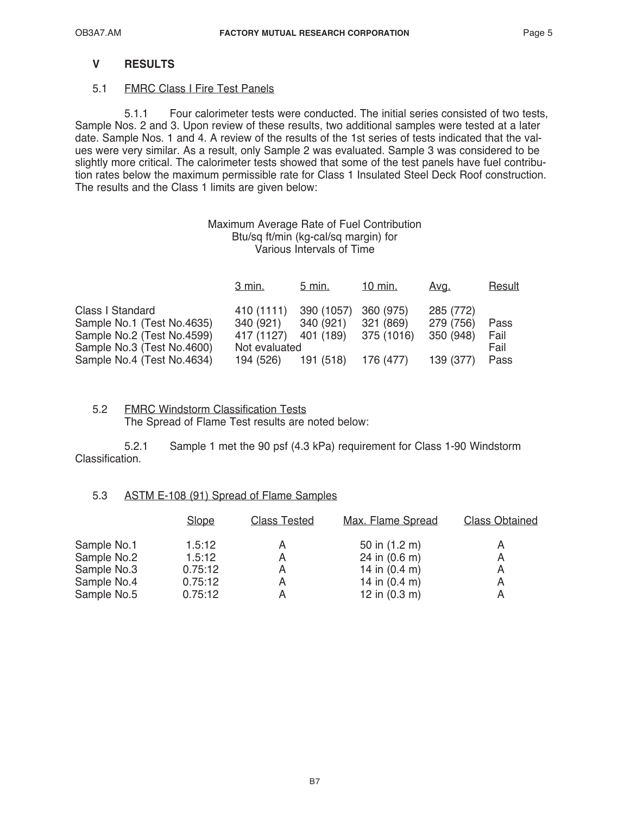# **V RESULTS**

### 5.1 FMRC Class I Fire Test Panels

 5.1.1 Four calorimeter tests were conducted. The initial series consisted of two tests, Sample Nos. 2 and 3. Upon review of these results, two additional samples were tested at a later date. Sample Nos. 1 and 4. A review of the results of the 1st series of tests indicated that the values were very similar. As a result, only Sample 2 was evaluated. Sample 3 was considered to be slightly more critical. The calorimeter tests showed that some of the test panels have fuel contribution rates below the maximum permissible rate for Class 1 Insulated Steel Deck Roof construction. The results and the Class 1 limits are given below:

### Maximum Average Rate of Fuel Contribution Btu/sq ft/min (kg-cal/sq margin) for Various Intervals of Time

|                            | 3 min.        | 5 min.               | 10 min.   | <u>Avg.</u> | <b>Result</b> |
|----------------------------|---------------|----------------------|-----------|-------------|---------------|
| Class I Standard           | 410 (1111)    | 390 (1057)           | 360 (975) | 285 (772)   |               |
| Sample No.1 (Test No.4635) | 340 (921)     | 340 (921)            | 321 (869) | 279 (756)   | Pass          |
| Sample No.2 (Test No.4599) | 417 (1127)    | 401 (189) 375 (1016) |           | 350 (948)   | Fail          |
| Sample No.3 (Test No.4600) | Not evaluated |                      |           |             | Fail          |
| Sample No.4 (Test No.4634) | 194 (526)     | 191 (518) 176 (477)  |           | 139 (377)   | Pass          |

### 5.2 FMRC Windstorm Classification Tests The Spread of Flame Test results are noted below:

 5.2.1 Sample 1 met the 90 psf (4.3 kPa) requirement for Class 1-90 Windstorm Classification.

### 5.3 ASTM E-108 (91) Spread of Flame Samples

|             | <b>Slope</b> | <b>Class Tested</b> | Max. Flame Spread       | <b>Class Obtained</b> |
|-------------|--------------|---------------------|-------------------------|-----------------------|
| Sample No.1 | 1.5:12       | А                   | 50 in (1.2 m)           | A                     |
| Sample No.2 | 1.5:12       | А                   | 24 in $(0.6 \text{ m})$ | A                     |
| Sample No.3 | 0.75:12      | Α                   | 14 in $(0.4 \text{ m})$ | A                     |
| Sample No.4 | 0.75:12      | Α                   | 14 in $(0.4 \text{ m})$ | А                     |
| Sample No.5 | 0.75:12      |                     | 12 in $(0.3 \text{ m})$ |                       |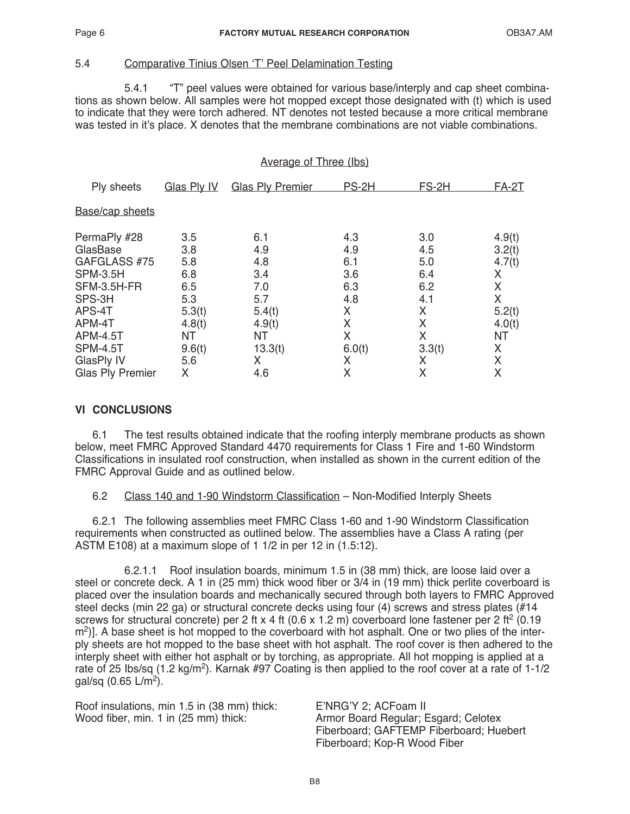### 5.4 Comparative Tinius Olsen 'T' Peel Delamination Testing

 5.4.1 "T" peel values were obtained for various base/interply and cap sheet combinations as shown below. All samples were hot mopped except those designated with (t) which is used to indicate that they were torch adhered. NT denotes not tested because a more critical membrane was tested in it's place. X denotes that the membrane combinations are not viable combinations.

### Average of Three (Ibs)

| Ply sheets                                                                                                                                                   | Glas Ply IV                                                                       | <b>Glas Ply Premier</b>                                                          | PS-2H                                                                | FS-2H                                                                | $FA-2T$                                                                       |
|--------------------------------------------------------------------------------------------------------------------------------------------------------------|-----------------------------------------------------------------------------------|----------------------------------------------------------------------------------|----------------------------------------------------------------------|----------------------------------------------------------------------|-------------------------------------------------------------------------------|
| Base/cap sheets                                                                                                                                              |                                                                                   |                                                                                  |                                                                      |                                                                      |                                                                               |
| PermaPly #28<br>GlasBase<br>GAFGLASS #75<br><b>SPM-3.5H</b><br>SFM-3.5H-FR<br>SPS-3H<br>APS-4T<br>APM-4T<br><b>APM-4.5T</b><br><b>SPM-4.5T</b><br>GlasPly IV | 3.5<br>3.8<br>5.8<br>6.8<br>6.5<br>5.3<br>5.3(t)<br>4.8(t)<br>ΝT<br>9.6(t)<br>5.6 | 6.1<br>4.9<br>4.8<br>3.4<br>7.0<br>5.7<br>5.4(t)<br>4.9(t)<br>ΝT<br>13.3(t)<br>X | 4.3<br>4.9<br>6.1<br>3.6<br>6.3<br>4.8<br>X<br>X<br>X<br>6.0(t)<br>X | 3.0<br>4.5<br>5.0<br>6.4<br>6.2<br>4.1<br>Χ<br>X<br>Χ<br>3.3(t)<br>Χ | 4.9(t)<br>3.2(t)<br>4.7(t)<br>X<br>X<br>X<br>5.2(t)<br>4.0(t)<br>ΝT<br>X<br>X |
| <b>Glas Ply Premier</b>                                                                                                                                      | X                                                                                 | 4.6                                                                              | X                                                                    | x                                                                    | X                                                                             |

### **VI CONCLUSIONS**

6.1 The test results obtained indicate that the roofing interply membrane products as shown below, meet FMRC Approved Standard 4470 requirements for Class 1 Fire and 1-60 Windstorm Classifications in insulated roof construction, when installed as shown in the current edition of the FMRC Approval Guide and as outlined below.

### 6.2 Class 140 and 1-90 Windstorm Classification – Non-Modified Interply Sheets

6.2.1 The following assemblies meet FMRC Class 1-60 and 1-90 Windstorm Classification requirements when constructed as outlined below. The assemblies have a Class A rating (per ASTM E108) at a maximum slope of 1 1/2 in per 12 in (1.5:12).

 6.2.1.1 Roof insulation boards, minimum 1.5 in (38 mm) thick, are loose laid over a steel or concrete deck. A 1 in (25 mm) thick wood fiber or 3/4 in (19 mm) thick perlite coverboard is placed over the insulation boards and mechanically secured through both layers to FMRC Approved steel decks (min 22 ga) or structural concrete decks using four (4) screws and stress plates (#14 screws for structural concrete) per 2 ft x 4 ft (0.6 x 1.2 m) coverboard lone fastener per 2 ft<sup>2</sup> (0.19 m<sup>2</sup>)]. A base sheet is hot mopped to the coverboard with hot asphalt. One or two plies of the interply sheets are hot mopped to the base sheet with hot asphalt. The roof cover is then adhered to the interply sheet with either hot asphalt or by torching, as appropriate. All hot mopping is applied at a rate of 25 Ibs/sq  $(1.2 \text{ kg/m}^2)$ . Karnak #97 Coating is then applied to the roof cover at a rate of 1-1/2 gal/sq  $(0.65 \text{ L/m}^2)$ .

Roof insulations, min 1.5 in (38 mm) thick: E'NRG'Y 2; ACFoam II<br>Wood fiber, min. 1 in (25 mm) thick: Armor Board Regular; E

Armor Board Regular; Esgard; Celotex Fiberboard; GAFTEMP Fiberboard; Huebert Fiberboard; Kop-R Wood Fiber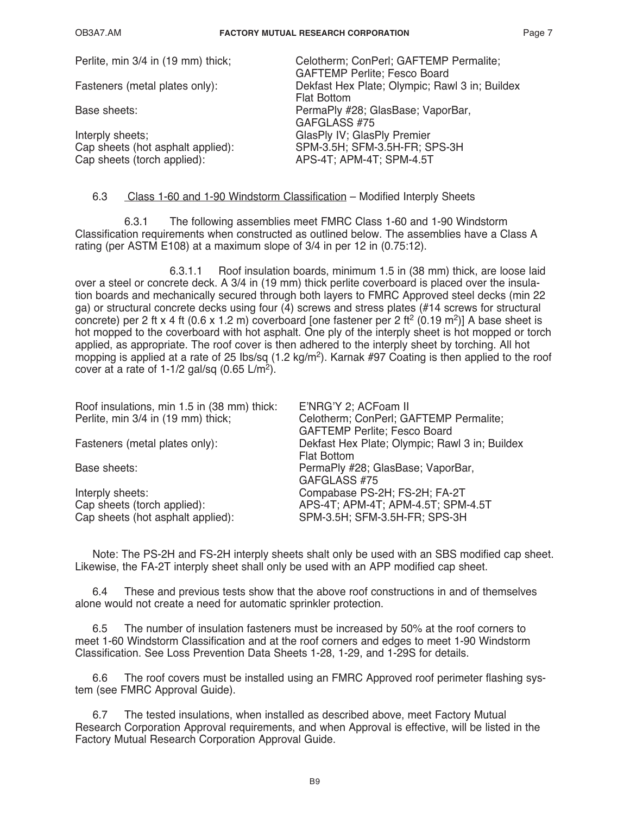| Perlite, min 3/4 in (19 mm) thick; | Celotherm; ConPerl; GAFTEMP Permalite;         |
|------------------------------------|------------------------------------------------|
|                                    | <b>GAFTEMP Perlite; Fesco Board</b>            |
| Fasteners (metal plates only):     | Dekfast Hex Plate; Olympic; Rawl 3 in; Buildex |
|                                    | <b>Flat Bottom</b>                             |
| Base sheets:                       | PermaPly #28; GlasBase; VaporBar,              |
|                                    | GAFGLASS #75                                   |
| Interply sheets;                   | GlasPly IV; GlasPly Premier                    |
| Cap sheets (hot asphalt applied):  | SPM-3.5H; SFM-3.5H-FR; SPS-3H                  |
| Cap sheets (torch applied):        | APS-4T; APM-4T; SPM-4.5T                       |
|                                    |                                                |

### 6.3 Class 1-60 and 1-90 Windstorm Classification – Modified Interply Sheets

 6.3.1 The following assemblies meet FMRC Class 1-60 and 1-90 Windstorm Classification requirements when constructed as outlined below. The assemblies have a Class A rating (per ASTM E108) at a maximum slope of 3/4 in per 12 in (0.75:12).

 6.3.1.1 Roof insulation boards, minimum 1.5 in (38 mm) thick, are loose laid over a steel or concrete deck. A 3/4 in (19 mm) thick perlite coverboard is placed over the insulation boards and mechanically secured through both layers to FMRC Approved steel decks (min 22 ga) or structural concrete decks using four (4) screws and stress plates (#14 screws for structural concrete) per 2 ft x 4 ft (0.6 x 1.2 m) coverboard [one fastener per 2 ft<sup>2</sup> (0.19 m<sup>2</sup>)] A base sheet is hot mopped to the coverboard with hot asphalt. One ply of the interply sheet is hot mopped or torch applied, as appropriate. The roof cover is then adhered to the interply sheet by torching. All hot mopping is applied at a rate of 25 Ibs/sq (1.2 kg/m<sup>2</sup>). Karnak #97 Coating is then applied to the roof cover at a rate of 1-1/2 gal/sq  $(0.65 \text{ L/m}^2)$ .

| Roof insulations, min 1.5 in (38 mm) thick: | E'NRG'Y 2; ACFoam II                           |
|---------------------------------------------|------------------------------------------------|
| Perlite, min 3/4 in (19 mm) thick;          | Celotherm; ConPerl; GAFTEMP Permalite;         |
|                                             | <b>GAFTEMP Perlite; Fesco Board</b>            |
| Fasteners (metal plates only):              | Dekfast Hex Plate; Olympic; Rawl 3 in; Buildex |
|                                             | <b>Flat Bottom</b>                             |
| Base sheets:                                | PermaPly #28; GlasBase; VaporBar,              |
|                                             | GAFGLASS #75                                   |
| Interply sheets:                            | Compabase PS-2H; FS-2H; FA-2T                  |
| Cap sheets (torch applied):                 | APS-4T; APM-4T; APM-4.5T; SPM-4.5T             |
| Cap sheets (hot asphalt applied):           | SPM-3.5H; SFM-3.5H-FR; SPS-3H                  |
|                                             |                                                |

Note: The PS-2H and FS-2H interply sheets shalt only be used with an SBS modified cap sheet. Likewise, the FA-2T interply sheet shall only be used with an APP modified cap sheet.

6.4 These and previous tests show that the above roof constructions in and of themselves alone would not create a need for automatic sprinkler protection.

6.5 The number of insulation fasteners must be increased by 50% at the roof corners to meet 1-60 Windstorm Classification and at the roof corners and edges to meet 1-90 Windstorm Classification. See Loss Prevention Data Sheets 1-28, 1-29, and 1-29S for details.

6.6 The roof covers must be installed using an FMRC Approved roof perimeter flashing system (see FMRC Approval Guide).

6.7 The tested insulations, when installed as described above, meet Factory Mutual Research Corporation Approval requirements, and when Approval is effective, will be listed in the Factory Mutual Research Corporation Approval Guide.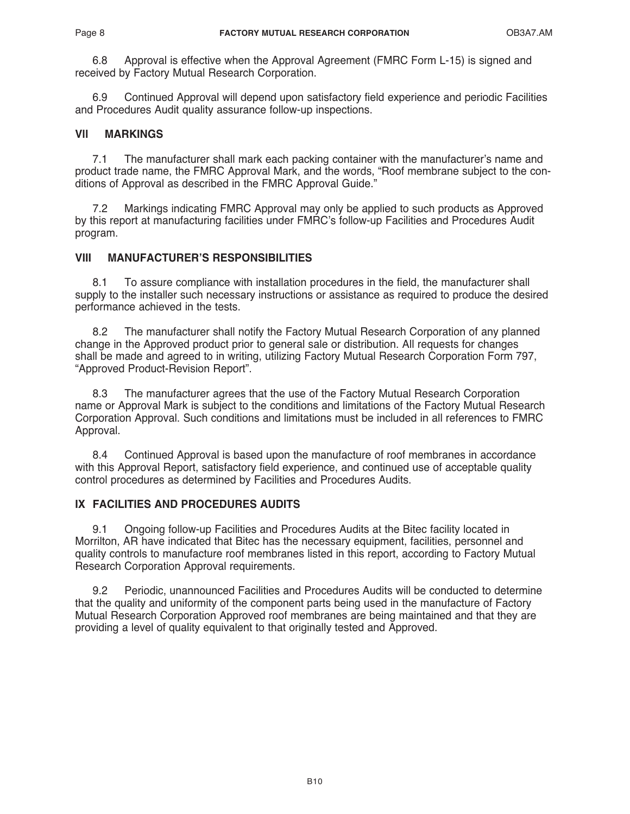6.8 Approval is effective when the Approval Agreement (FMRC Form L-15) is signed and received by Factory Mutual Research Corporation.

6.9 Continued Approval will depend upon satisfactory field experience and periodic Facilities and Procedures Audit quality assurance follow-up inspections.

# **Vll MARKINGS**

7.1 The manufacturer shall mark each packing container with the manufacturer's name and product trade name, the FMRC Approval Mark, and the words, "Roof membrane subject to the conditions of Approval as described in the FMRC Approval Guide."

7.2 Markings indicating FMRC Approval may only be applied to such products as Approved by this report at manufacturing facilities under FMRC's follow-up Facilities and Procedures Audit program.

# **VIII MANUFACTURER'S RESPONSIBILITIES**

8.1 To assure compliance with installation procedures in the field, the manufacturer shall supply to the installer such necessary instructions or assistance as required to produce the desired performance achieved in the tests.

8.2 The manufacturer shall notify the Factory Mutual Research Corporation of any planned change in the Approved product prior to general sale or distribution. All requests for changes shall be made and agreed to in writing, utilizing Factory Mutual Research Corporation Form 797, "Approved Product-Revision Report".

8.3 The manufacturer agrees that the use of the Factory Mutual Research Corporation name or Approval Mark is subject to the conditions and limitations of the Factory Mutual Research Corporation Approval. Such conditions and limitations must be included in all references to FMRC Approval.

8.4 Continued Approval is based upon the manufacture of roof membranes in accordance with this Approval Report, satisfactory field experience, and continued use of acceptable quality control procedures as determined by Facilities and Procedures Audits.

# **IX FACILITIES AND PROCEDURES AUDITS**

9.1 Ongoing follow-up Facilities and Procedures Audits at the Bitec facility located in Morrilton, AR have indicated that Bitec has the necessary equipment, facilities, personnel and quality controls to manufacture roof membranes listed in this report, according to Factory Mutual Research Corporation Approval requirements.

9.2 Periodic, unannounced Facilities and Procedures Audits will be conducted to determine that the quality and uniformity of the component parts being used in the manufacture of Factory Mutual Research Corporation Approved roof membranes are being maintained and that they are providing a level of quality equivalent to that originally tested and Approved.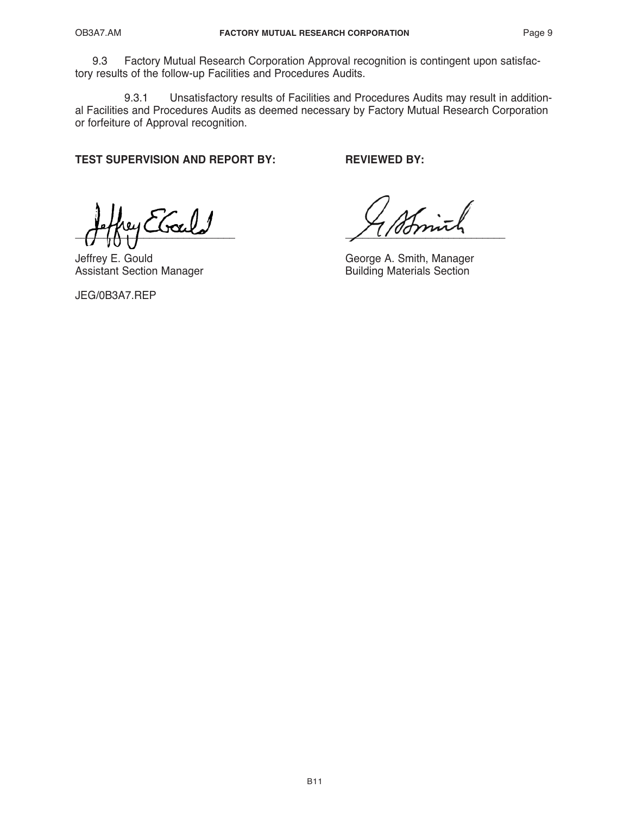9.3 Factory Mutual Research Corporation Approval recognition is contingent upon satisfactory results of the follow-up Facilities and Procedures Audits.

9.3.1 Unsatisfactory results of Facilities and Procedures Audits may result in additional Facilities and Procedures Audits as deemed necessary by Factory Mutual Research Corporation or forfeiture of Approval recognition.

**TEST SUPERVISION AND REPORT BY: REVIEWED BY:**

 $\frac{1}{2}$ 

Assistant Section Manager

JEG/0B3A7.REP

Jeffrey E. Gould<br>
Assistant Section Manager<br>
Assistant Section Manager<br>
George A. Smith, Manager<br>
Building Materials Section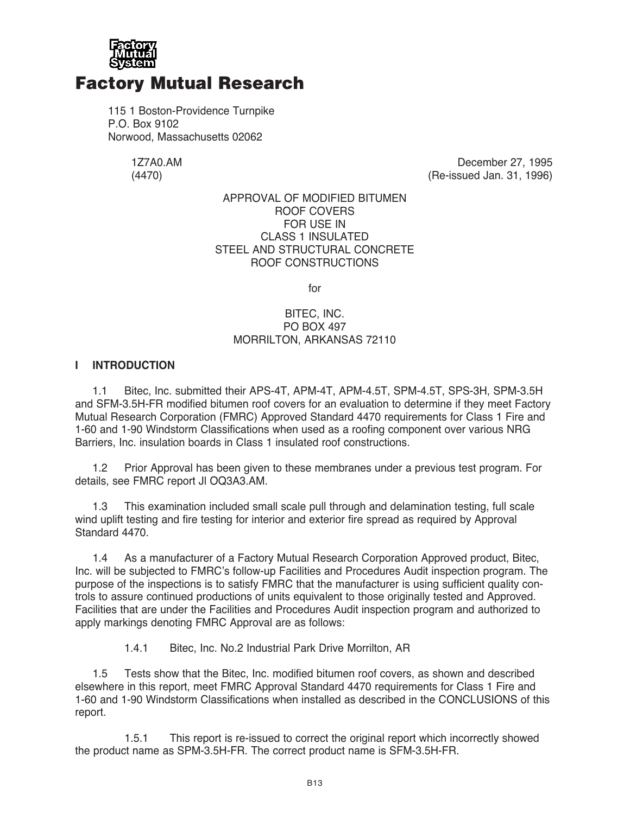

# Factory Mutual Research

115 1 Boston-Providence Turnpike P.O. Box 9102 Norwood, Massachusetts 02062

1Z7A0.AM December 27, 1995<br>(4470) (Ae-issued Jan. 31, 1996) (Re-issued Jan. 31, 1996)

### APPROVAL OF MODIFIED BITUMEN ROOF COVERS FOR USE IN CLASS 1 INSULATED STEEL AND STRUCTURAL CONCRETE ROOF CONSTRUCTIONS

for

# BITEC, INC. PO BOX 497 MORRILTON, ARKANSAS 72110

# **I INTRODUCTION**

1.1 Bitec, Inc. submitted their APS-4T, APM-4T, APM-4.5T, SPM-4.5T, SPS-3H, SPM-3.5H and SFM-3.5H-FR modified bitumen roof covers for an evaluation to determine if they meet Factory Mutual Research Corporation (FMRC) Approved Standard 4470 requirements for Class 1 Fire and 1-60 and 1-90 Windstorm Classifications when used as a roofing component over various NRG Barriers, Inc. insulation boards in Class 1 insulated roof constructions.

1.2 Prior Approval has been given to these membranes under a previous test program. For details, see FMRC report Jl OQ3A3.AM.

1.3 This examination included small scale pull through and delamination testing, full scale wind uplift testing and fire testing for interior and exterior fire spread as required by Approval Standard 4470.

1.4 As a manufacturer of a Factory Mutual Research Corporation Approved product, Bitec, Inc. will be subjected to FMRC's follow-up Facilities and Procedures Audit inspection program. The purpose of the inspections is to satisfy FMRC that the manufacturer is using sufficient quality controls to assure continued productions of units equivalent to those originally tested and Approved. Facilities that are under the Facilities and Procedures Audit inspection program and authorized to apply markings denoting FMRC Approval are as follows:

1.4.1 Bitec, Inc. No.2 Industrial Park Drive Morrilton, AR

1.5 Tests show that the Bitec, Inc. modified bitumen roof covers, as shown and described elsewhere in this report, meet FMRC Approval Standard 4470 requirements for Class 1 Fire and 1-60 and 1-90 Windstorm Classifications when installed as described in the CONCLUSIONS of this report.

 1.5.1 This report is re-issued to correct the original report which incorrectly showed the product name as SPM-3.5H-FR. The correct product name is SFM-3.5H-FR.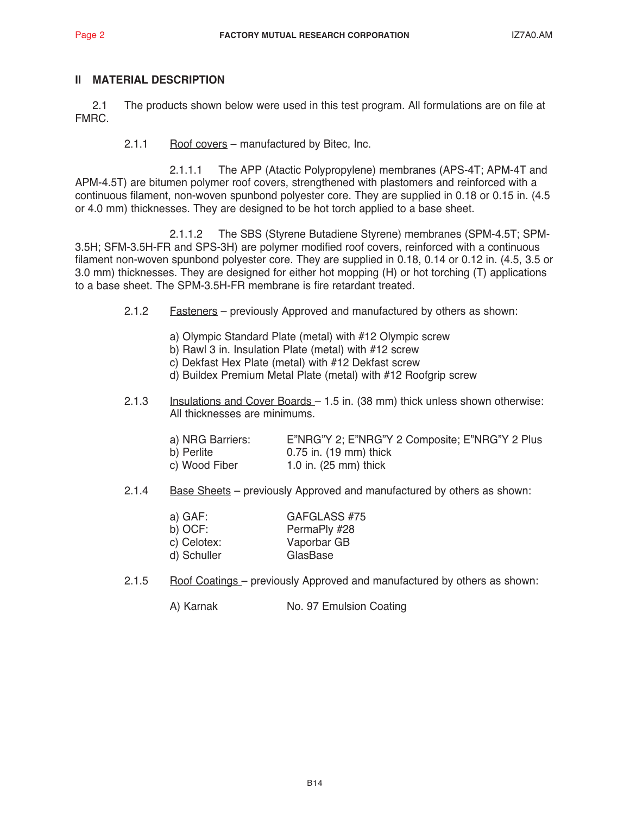# **II MATERIAL DESCRIPTION**

2.1 The products shown below were used in this test program. All formulations are on file at FMRC.

2.1.1 Roof covers – manufactured by Bitec, Inc.

 2.1.1.1 The APP (Atactic Polypropylene) membranes (APS-4T; APM-4T and APM-4.5T) are bitumen polymer roof covers, strengthened with plastomers and reinforced with a continuous filament, non-woven spunbond polyester core. They are supplied in 0.18 or 0.15 in. (4.5 or 4.0 mm) thicknesses. They are designed to be hot torch applied to a base sheet.

 2.1.1.2 The SBS (Styrene Butadiene Styrene) membranes (SPM-4.5T; SPM-3.5H; SFM-3.5H-FR and SPS-3H) are polymer modified roof covers, reinforced with a continuous filament non-woven spunbond polyester core. They are supplied in 0.18, 0.14 or 0.12 in. (4.5, 3.5 or 3.0 mm) thicknesses. They are designed for either hot mopping (H) or hot torching (T) applications to a base sheet. The SPM-3.5H-FR membrane is fire retardant treated.

- 2.1.2 Fasteners previously Approved and manufactured by others as shown:
	- a) Olympic Standard Plate (metal) with #12 Olympic screw
	- b) Rawl 3 in. Insulation Plate (metal) with #12 screw
	- c) Dekfast Hex Plate (metal) with #12 Dekfast screw
	- d) Buildex Premium Metal Plate (metal) with #12 Roofgrip screw
- 2.1.3 Insulations and Cover Boards 1.5 in. (38 mm) thick unless shown otherwise: All thicknesses are minimums.

| a) NRG Barriers: | E"NRG"Y 2; E"NRG"Y 2 Composite; E"NRG"Y 2 Plus |
|------------------|------------------------------------------------|
| b) Perlite       | 0.75 in. (19 mm) thick                         |
| c) Wood Fiber    | 1.0 in. $(25 \text{ mm})$ thick                |

2.1.4 Base Sheets – previously Approved and manufactured by others as shown:

| GAFGLASS #75 |
|--------------|
| PermaPly #28 |
| Vaporbar GB  |
| GlasBase     |
|              |

2.1.5 Roof Coatings – previously Approved and manufactured by others as shown:

A) Karnak No. 97 Emulsion Coating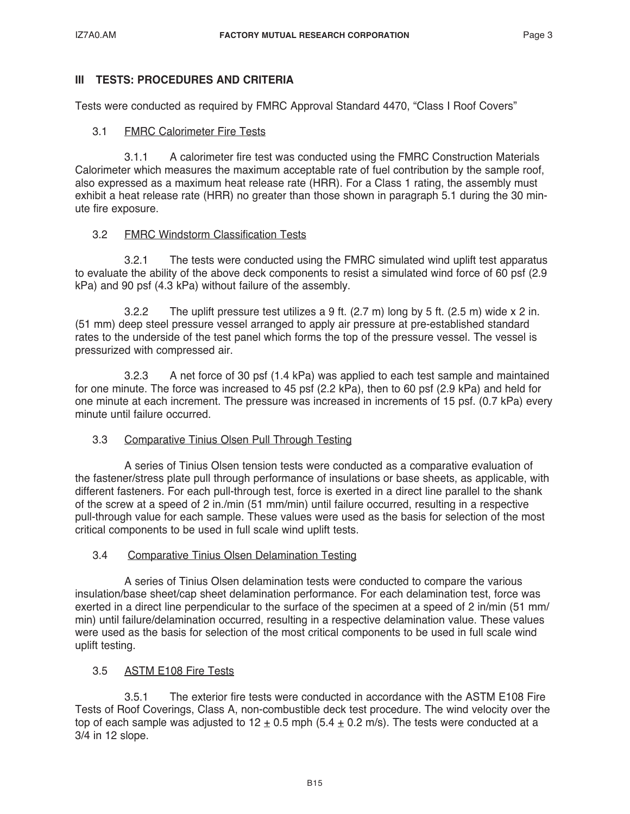# **III TESTS: PROCEDURES AND CRITERIA**

Tests were conducted as required by FMRC Approval Standard 4470, "Class I Roof Covers"

# 3.1 FMRC Calorimeter Fire Tests

 3.1.1 A calorimeter fire test was conducted using the FMRC Construction Materials Calorimeter which measures the maximum acceptable rate of fuel contribution by the sample roof, also expressed as a maximum heat release rate (HRR). For a Class 1 rating, the assembly must exhibit a heat release rate (HRR) no greater than those shown in paragraph 5.1 during the 30 minute fire exposure.

# 3.2 FMRC Windstorm Classification Tests

 3.2.1 The tests were conducted using the FMRC simulated wind uplift test apparatus to evaluate the ability of the above deck components to resist a simulated wind force of 60 psf (2.9 kPa) and 90 psf (4.3 kPa) without failure of the assembly.

 3.2.2 The uplift pressure test utilizes a 9 ft. (2.7 m) long by 5 ft. (2.5 m) wide x 2 in. (51 mm) deep steel pressure vessel arranged to apply air pressure at pre-established standard rates to the underside of the test panel which forms the top of the pressure vessel. The vessel is pressurized with compressed air.

 3.2.3 A net force of 30 psf (1.4 kPa) was applied to each test sample and maintained for one minute. The force was increased to 45 psf (2.2 kPa), then to 60 psf (2.9 kPa) and held for one minute at each increment. The pressure was increased in increments of 15 psf. (0.7 kPa) every minute until failure occurred.

# 3.3 Comparative Tinius Olsen Pull Through Testing

 A series of Tinius Olsen tension tests were conducted as a comparative evaluation of the fastener/stress plate pull through performance of insulations or base sheets, as applicable, with different fasteners. For each pull-through test, force is exerted in a direct line parallel to the shank of the screw at a speed of 2 in./min (51 mm/min) until failure occurred, resulting in a respective pull-through value for each sample. These values were used as the basis for selection of the most critical components to be used in full scale wind uplift tests.

# 3.4 Comparative Tinius Olsen Delamination Testing

 A series of Tinius Olsen delamination tests were conducted to compare the various insulation/base sheet/cap sheet delamination performance. For each delamination test, force was exerted in a direct line perpendicular to the surface of the specimen at a speed of 2 in/min (51 mm/ min) until failure/delamination occurred, resulting in a respective delamination value. These values were used as the basis for selection of the most critical components to be used in full scale wind uplift testing.

# 3.5 ASTM E108 Fire Tests

 3.5.1 The exterior fire tests were conducted in accordance with the ASTM E108 Fire Tests of Roof Coverings, Class A, non-combustible deck test procedure. The wind velocity over the top of each sample was adjusted to  $12 \pm 0.5$  mph (5.4  $\pm$  0.2 m/s). The tests were conducted at a 3/4 in 12 slope.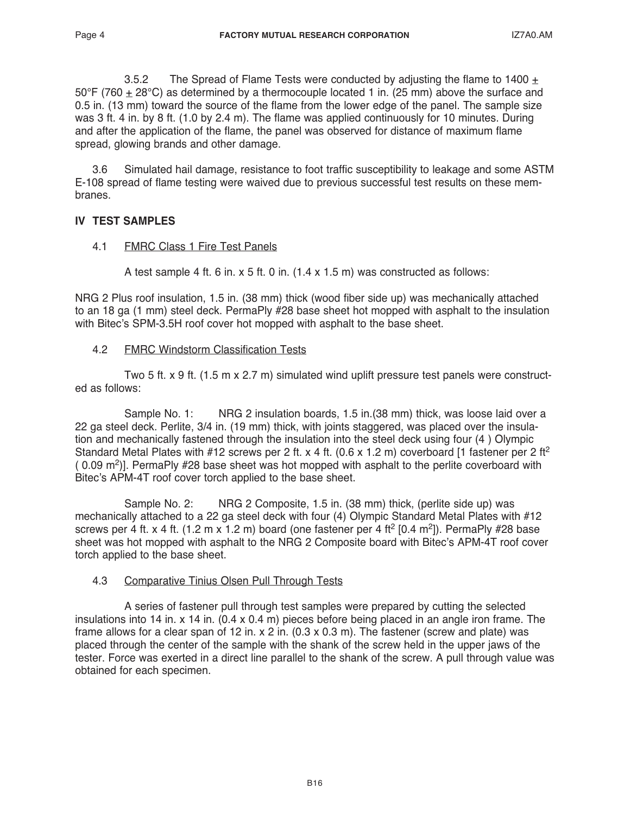3.5.2 The Spread of Flame Tests were conducted by adjusting the flame to 1400  $\pm$ 50°F (760 + 28°C) as determined by a thermocouple located 1 in. (25 mm) above the surface and 0.5 in. (13 mm) toward the source of the flame from the lower edge of the panel. The sample size was 3 ft. 4 in. by 8 ft. (1.0 by 2.4 m). The flame was applied continuously for 10 minutes. During and after the application of the flame, the panel was observed for distance of maximum flame spread, glowing brands and other damage.

3.6 Simulated hail damage, resistance to foot traffic susceptibility to leakage and some ASTM E-108 spread of flame testing were waived due to previous successful test results on these membranes.

# **IV TEST SAMPLES**

4.1 FMRC Class 1 Fire Test Panels

A test sample 4 ft. 6 in. x 5 ft. 0 in. (1.4 x 1.5 m) was constructed as follows:

NRG 2 Plus roof insulation, 1.5 in. (38 mm) thick (wood fiber side up) was mechanically attached to an 18 ga (1 mm) steel deck. PermaPly #28 base sheet hot mopped with asphalt to the insulation with Bitec's SPM-3.5H roof cover hot mopped with asphalt to the base sheet.

4.2 FMRC Windstorm Classification Tests

 Two 5 ft. x 9 ft. (1.5 m x 2.7 m) simulated wind uplift pressure test panels were constructed as follows:

 Sample No. 1: NRG 2 insulation boards, 1.5 in.(38 mm) thick, was loose laid over a 22 ga steel deck. Perlite, 3/4 in. (19 mm) thick, with joints staggered, was placed over the insulation and mechanically fastened through the insulation into the steel deck using four (4 ) Olympic Standard Metal Plates with #12 screws per 2 ft. x 4 ft. (0.6 x 1.2 m) coverboard [1 fastener per 2 ft<sup>2</sup>  $(0.09 \text{ m}^2)$ ]. PermaPly #28 base sheet was hot mopped with asphalt to the perlite coverboard with Bitec's APM-4T roof cover torch applied to the base sheet.

 Sample No. 2: NRG 2 Composite, 1.5 in. (38 mm) thick, (perlite side up) was mechanically attached to a 22 ga steel deck with four (4) Olympic Standard Metal Plates with #12 screws per 4 ft. x 4 ft. (1.2 m x 1.2 m) board (one fastener per 4 ft<sup>2</sup> [0.4 m<sup>2</sup>]). PermaPly #28 base sheet was hot mopped with asphalt to the NRG 2 Composite board with Bitec's APM-4T roof cover torch applied to the base sheet.

# 4.3 Comparative Tinius Olsen Pull Through Tests

 A series of fastener pull through test samples were prepared by cutting the selected insulations into 14 in. x 14 in. (0.4 x 0.4 m) pieces before being placed in an angle iron frame. The frame allows for a clear span of 12 in. x 2 in.  $(0.3 \times 0.3 \text{ m})$ . The fastener (screw and plate) was placed through the center of the sample with the shank of the screw held in the upper jaws of the tester. Force was exerted in a direct line parallel to the shank of the screw. A pull through value was obtained for each specimen.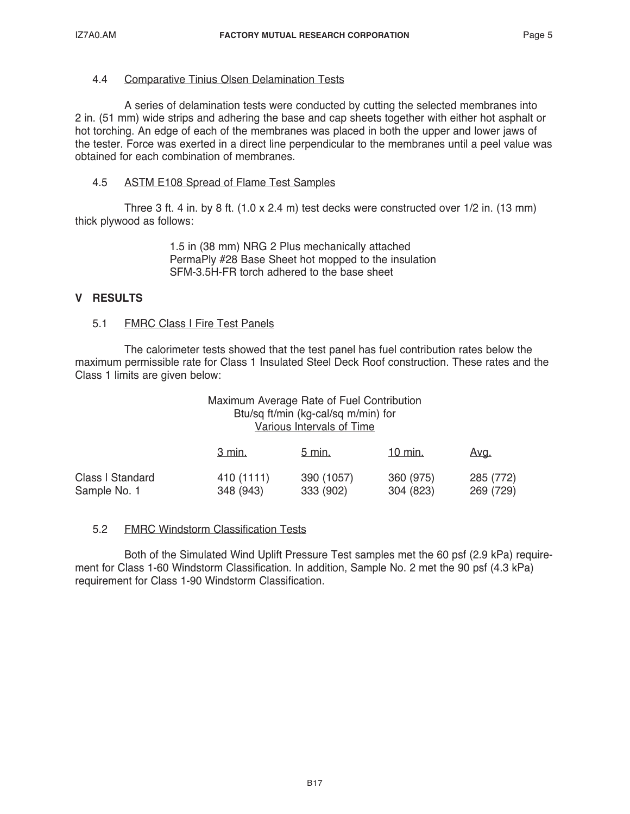# 4.4 Comparative Tinius Olsen Delamination Tests

 A series of delamination tests were conducted by cutting the selected membranes into 2 in. (51 mm) wide strips and adhering the base and cap sheets together with either hot asphalt or hot torching. An edge of each of the membranes was placed in both the upper and lower jaws of the tester. Force was exerted in a direct line perpendicular to the membranes until a peel value was obtained for each combination of membranes.

# 4.5 ASTM E108 Spread of Flame Test Samples

 Three 3 ft. 4 in. by 8 ft. (1.0 x 2.4 m) test decks were constructed over 1/2 in. (13 mm) thick plywood as follows:

> 1.5 in (38 mm) NRG 2 Plus mechanically attached PermaPly #28 Base Sheet hot mopped to the insulation SFM-3.5H-FR torch adhered to the base sheet

# **V RESULTS**

### 5.1 FMRC Class I Fire Test Panels

 The calorimeter tests showed that the test panel has fuel contribution rates below the maximum permissible rate for Class 1 Insulated Steel Deck Roof construction. These rates and the Class 1 limits are given below:

## Maximum Average Rate of Fuel Contribution Btu/sq ft/min (kg-cal/sq m/min) for Various Intervals of Time

|                  | 3 min.     | $5 \text{ min}$ . | $10 \text{ min}$ . | Avg.      |
|------------------|------------|-------------------|--------------------|-----------|
| Class I Standard | 410 (1111) | 390 (1057)        | 360 (975)          | 285 (772) |
| Sample No. 1     | 348 (943)  | 333 (902)         | 304 (823)          | 269 (729) |

### 5.2 FMRC Windstorm Classification Tests

 Both of the Simulated Wind Uplift Pressure Test samples met the 60 psf (2.9 kPa) requirement for Class 1-60 Windstorm Classification. In addition, Sample No. 2 met the 90 psf (4.3 kPa) requirement for Class 1-90 Windstorm Classification.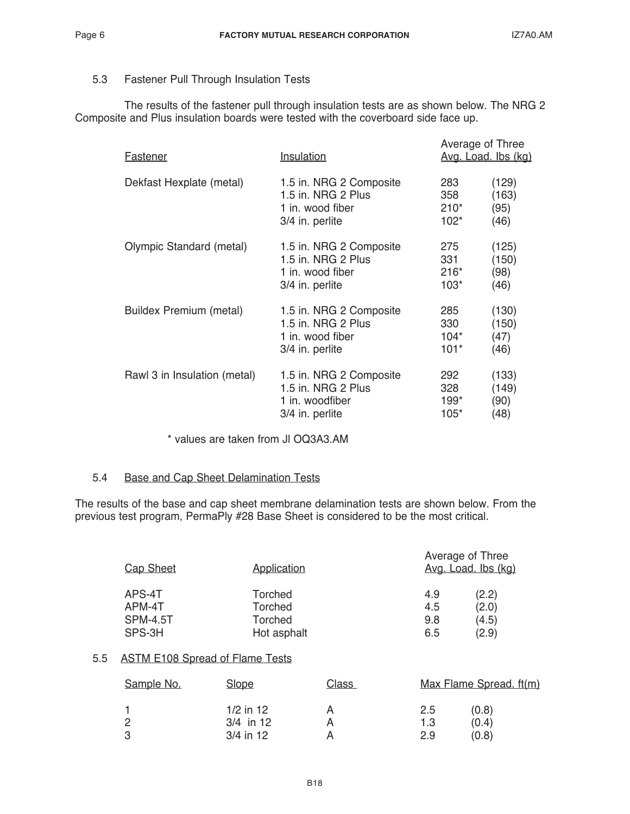# 5.3 Fastener Pull Through Insulation Tests

 The results of the fastener pull through insulation tests are as shown below. The NRG 2 Composite and Plus insulation boards were tested with the coverboard side face up.

| Fastener                     | Insulation                                                                           | Average of Three<br>Avg. Load. Ibs (kg) |                                |
|------------------------------|--------------------------------------------------------------------------------------|-----------------------------------------|--------------------------------|
| Dekfast Hexplate (metal)     | 1.5 in. NRG 2 Composite<br>1.5 in. NRG 2 Plus<br>1 in. wood fiber<br>3/4 in. perlite | 283<br>358<br>$210*$<br>$102*$          | (129)<br>(163)<br>(95)<br>(46) |
| Olympic Standard (metal)     | 1.5 in. NRG 2 Composite<br>1.5 in. NRG 2 Plus<br>1 in. wood fiber<br>3/4 in. perlite | 275<br>331<br>$216*$<br>$103*$          | (125)<br>(150)<br>(98)<br>(46) |
| Buildex Premium (metal)      | 1.5 in. NRG 2 Composite<br>1.5 in. NRG 2 Plus<br>1 in. wood fiber<br>3/4 in. perlite | 285<br>330<br>$104*$<br>$101*$          | (130)<br>(150)<br>(47)<br>(46) |
| Rawl 3 in Insulation (metal) | 1.5 in. NRG 2 Composite<br>1.5 in. NRG 2 Plus<br>1 in. woodfiber<br>3/4 in. perlite  | 292<br>328<br>$199*$<br>$105*$          | (133)<br>(149)<br>(90)<br>(48) |

\* values are taken from Jl OQ3A3.AM

### 5.4 Base and Cap Sheet Delamination Tests

The results of the base and cap sheet membrane delamination tests are shown below. From the previous test program, PermaPly #28 Base Sheet is considered to be the most critical.

| <b>Cap Sheet</b> | Application    | Average of Three<br>Avg. Load. Ibs (kg) |  |
|------------------|----------------|-----------------------------------------|--|
| APS-4T           | Torched        | (2.2)<br>4.9                            |  |
| APM-4T           | Torched        | (2.0)<br>4.5                            |  |
| <b>SPM-4.5T</b>  | <b>Torched</b> | (4.5)<br>9.8                            |  |
| SPS-3H           | Hot asphalt    | (2.9)<br>6.5                            |  |

# 5.5 ASTM E108 Spread of Flame Tests

| Sample No. | <b>Slope</b> | Class |     | Max Flame Spread. ft(m) |  |
|------------|--------------|-------|-----|-------------------------|--|
|            | $1/2$ in 12  |       | 2.5 | (0.8)                   |  |
|            | $3/4$ in 12  |       | 1.3 | (0.4)                   |  |
| -3         | $3/4$ in 12  |       | 2.9 | (0.8)                   |  |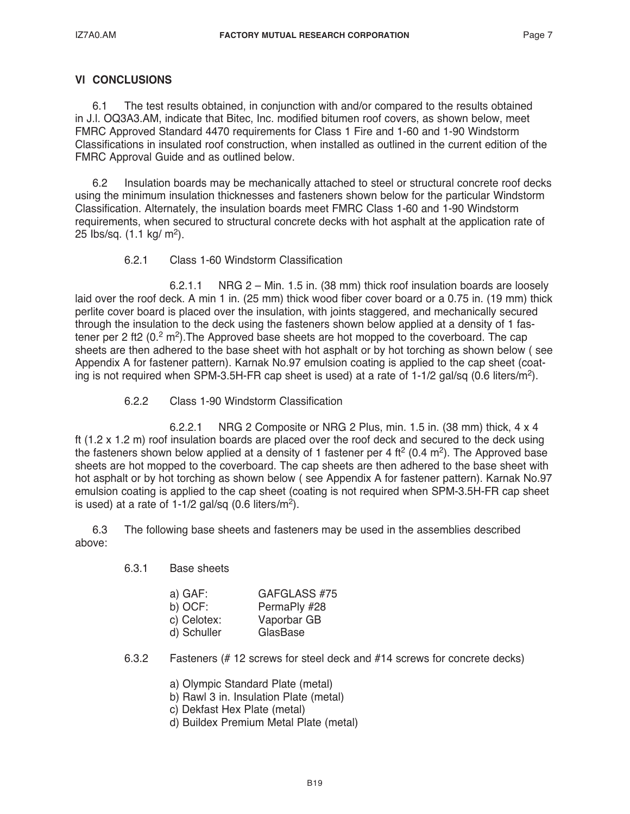# **Vl CONCLUSIONS**

6.1 The test results obtained, in conjunction with and/or compared to the results obtained in J.l. OQ3A3.AM, indicate that Bitec, Inc. modified bitumen roof covers, as shown below, meet FMRC Approved Standard 4470 requirements for Class 1 Fire and 1-60 and 1-90 Windstorm Classifications in insulated roof construction, when installed as outlined in the current edition of the FMRC Approval Guide and as outlined below.

6.2 Insulation boards may be mechanically attached to steel or structural concrete roof decks using the minimum insulation thicknesses and fasteners shown below for the particular Windstorm Classification. Alternately, the insulation boards meet FMRC Class 1-60 and 1-90 Windstorm requirements, when secured to structural concrete decks with hot asphalt at the application rate of 25  $lbs/sq.$  (1.1 kg/ m<sup>2</sup>).

# 6.2.1 Class 1-60 Windstorm Classification

 6.2.1.1 NRG 2 – Min. 1.5 in. (38 mm) thick roof insulation boards are loosely laid over the roof deck. A min 1 in. (25 mm) thick wood fiber cover board or a 0.75 in. (19 mm) thick perlite cover board is placed over the insulation, with joints staggered, and mechanically secured through the insulation to the deck using the fasteners shown below applied at a density of 1 fastener per 2 ft2  $(0.2 \text{ m}^2)$ . The Approved base sheets are hot mopped to the coverboard. The cap sheets are then adhered to the base sheet with hot asphalt or by hot torching as shown below ( see Appendix A for fastener pattern). Karnak No.97 emulsion coating is applied to the cap sheet (coating is not required when SPM-3.5H-FR cap sheet is used) at a rate of 1-1/2 gal/sq (0.6 liters/m<sup>2</sup>).

6.2.2 Class 1-90 Windstorm Classification

 6.2.2.1 NRG 2 Composite or NRG 2 Plus, min. 1.5 in. (38 mm) thick, 4 x 4 ft (1.2 x 1.2 m) roof insulation boards are placed over the roof deck and secured to the deck using the fasteners shown below applied at a density of 1 fastener per 4 ft<sup>2</sup> (0.4 m<sup>2</sup>). The Approved base sheets are hot mopped to the coverboard. The cap sheets are then adhered to the base sheet with hot asphalt or by hot torching as shown below ( see Appendix A for fastener pattern). Karnak No.97 emulsion coating is applied to the cap sheet (coating is not required when SPM-3.5H-FR cap sheet is used) at a rate of  $1-1/2$  gal/sq  $(0.6$  liters/m<sup>2</sup>).

6.3 The following base sheets and fasteners may be used in the assemblies described above:

6.3.1 Base sheets

| a) $GAF:$   | GAFGLASS #75 |
|-------------|--------------|
| $b)$ OCF:   | PermaPly #28 |
| c) Celotex: | Vaporbar GB  |
| d) Schuller | GlasBase     |

- 6.3.2 Fasteners (# 12 screws for steel deck and #14 screws for concrete decks)
	- a) Olympic Standard Plate (metal)
	- b) Rawl 3 in. Insulation Plate (metal)
	- c) Dekfast Hex Plate (metal)
	- d) Buildex Premium Metal Plate (metal)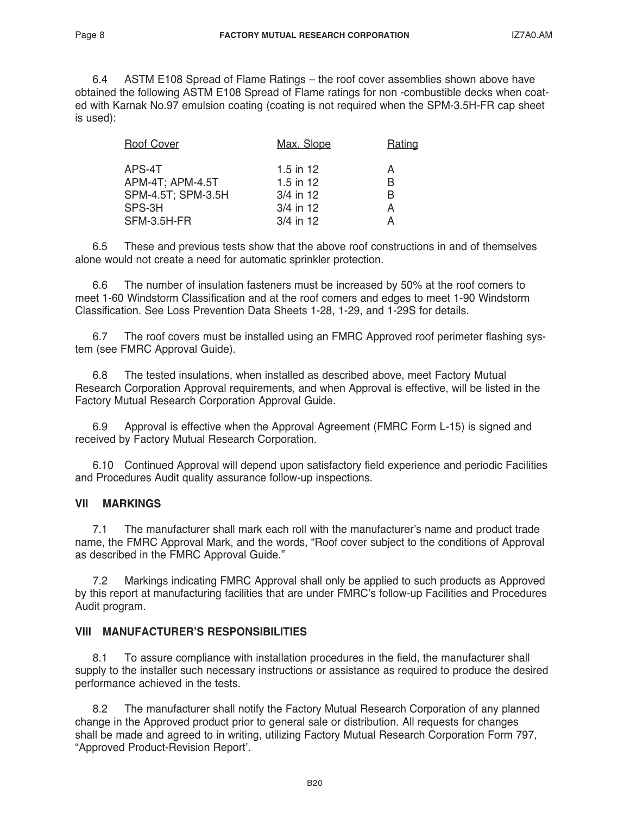6.4 ASTM E108 Spread of Flame Ratings – the roof cover assemblies shown above have obtained the following ASTM E108 Spread of Flame ratings for non -combustible decks when coated with Karnak No.97 emulsion coating (coating is not required when the SPM-3.5H-FR cap sheet is used):

| <b>Roof Cover</b>  | Max. Slope  | Rating |
|--------------------|-------------|--------|
| APS-4T             | 1.5 in 12   | А      |
| APM-4T; APM-4.5T   | 1.5 in $12$ | B      |
| SPM-4.5T; SPM-3.5H | $3/4$ in 12 | B      |
| SPS-3H             | 3/4 in 12   | А      |
| SFM-3.5H-FR        | 3/4 in 12   |        |
|                    |             |        |

6.5 These and previous tests show that the above roof constructions in and of themselves alone would not create a need for automatic sprinkler protection.

6.6 The number of insulation fasteners must be increased by 50% at the roof comers to meet 1-60 Windstorm Classification and at the roof comers and edges to meet 1-90 Windstorm Classification. See Loss Prevention Data Sheets 1-28, 1-29, and 1-29S for details.

6.7 The roof covers must be installed using an FMRC Approved roof perimeter flashing system (see FMRC Approval Guide).

6.8 The tested insulations, when installed as described above, meet Factory Mutual Research Corporation Approval requirements, and when Approval is effective, will be listed in the Factory Mutual Research Corporation Approval Guide.

6.9 Approval is effective when the Approval Agreement (FMRC Form L-15) is signed and received by Factory Mutual Research Corporation.

6.10 Continued Approval will depend upon satisfactory field experience and periodic Facilities and Procedures Audit quality assurance follow-up inspections.

# **Vll MARKINGS**

7.1 The manufacturer shall mark each roll with the manufacturer's name and product trade name, the FMRC Approval Mark, and the words, "Roof cover subject to the conditions of Approval as described in the FMRC Approval Guide."

7.2 Markings indicating FMRC Approval shall only be applied to such products as Approved by this report at manufacturing facilities that are under FMRC's follow-up Facilities and Procedures Audit program.

### **VIII MANUFACTURER'S RESPONSIBILITIES**

8.1 To assure compliance with installation procedures in the field, the manufacturer shall supply to the installer such necessary instructions or assistance as required to produce the desired performance achieved in the tests.

8.2 The manufacturer shall notify the Factory Mutual Research Corporation of any planned change in the Approved product prior to general sale or distribution. All requests for changes shall be made and agreed to in writing, utilizing Factory Mutual Research Corporation Form 797, "Approved Product-Revision Report'.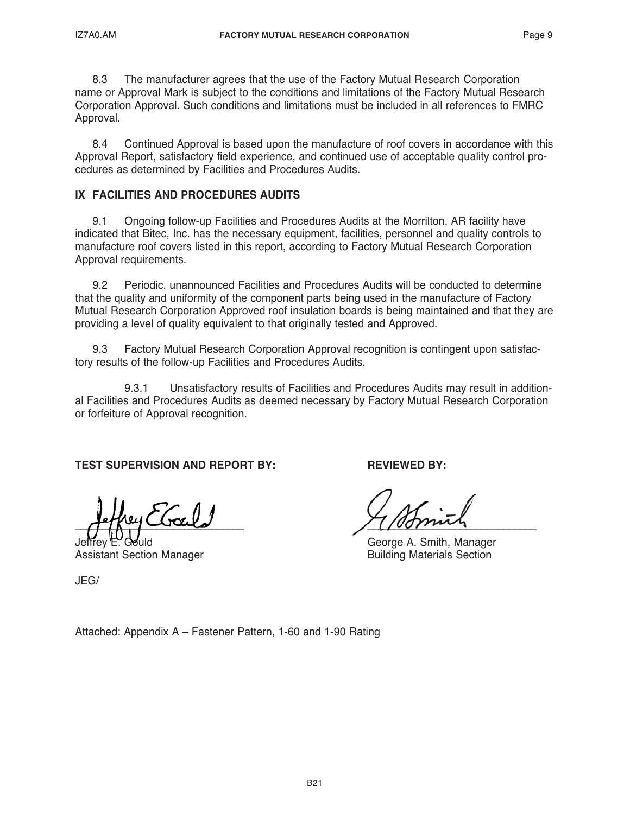8.3 The manufacturer agrees that the use of the Factory Mutual Research Corporation name or Approval Mark is subject to the conditions and limitations of the Factory Mutual Research Corporation Approval. Such conditions and limitations must be included in all references to FMRC Approval.

8.4 Continued Approval is based upon the manufacture of roof covers in accordance with this Approval Report, satisfactory field experience, and continued use of acceptable quality control procedures as determined by Facilities and Procedures Audits.

# **IX FACILITIES AND PROCEDURES AUDITS**

9.1 Ongoing follow-up Facilities and Procedures Audits at the Morrilton, AR facility have indicated that Bitec, Inc. has the necessary equipment, facilities, personnel and quality controls to manufacture roof covers listed in this report, according to Factory Mutual Research Corporation Approval requirements.

9.2 Periodic, unannounced Facilities and Procedures Audits will be conducted to determine that the quality and uniformity of the component parts being used in the manufacture of Factory Mutual Research Corporation Approved roof insulation boards is being maintained and that they are providing a level of quality equivalent to that originally tested and Approved.

9.3 Factory Mutual Research Corporation Approval recognition is contingent upon satisfactory results of the follow-up Facilities and Procedures Audits.

 9.3.1 Unsatisfactory results of Facilities and Procedures Audits may result in additional Facilities and Procedures Audits as deemed necessary by Factory Mutual Research Corporation or forfeiture of Approval recognition.

# **TEST SUPERVISION AND REPORT BY: REVIEWED BY:**

 $-$ ()  $\sqrt{1}$ ,  $\sqrt{1}$ ,  $\sqrt{1}$ 

**Assistant Section Manager** 

George A. Smith, Manager<br>Building Materials Section

JEG/

Attached: Appendix A – Fastener Pattern, 1-60 and 1-90 Rating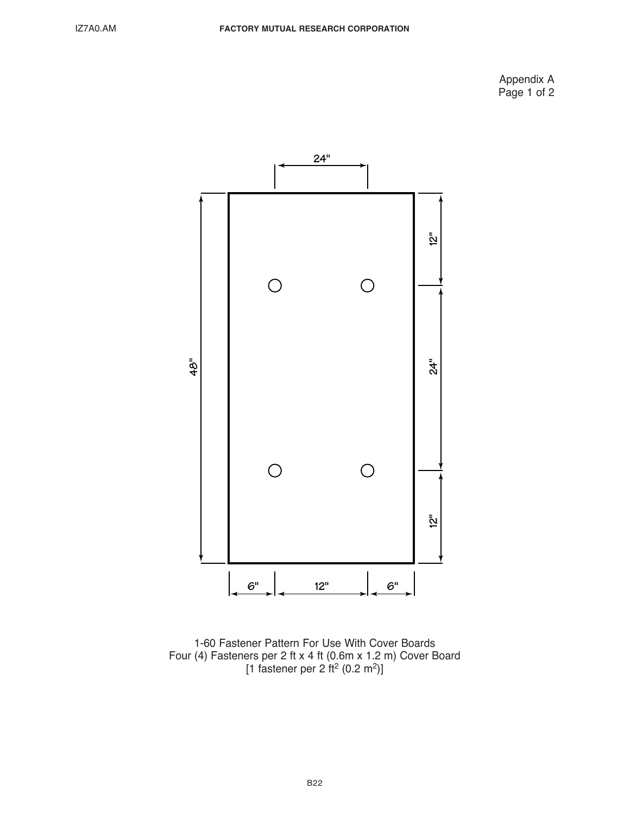Appendix A Page 1 of 2



<sup>1-60</sup> Fastener Pattern For Use With Cover Boards Four (4) Fasteners per 2 ft x 4 ft (0.6m x 1.2 m) Cover Board [1 fastener per 2 ft<sup>2</sup> (0.2 m<sup>2</sup>)]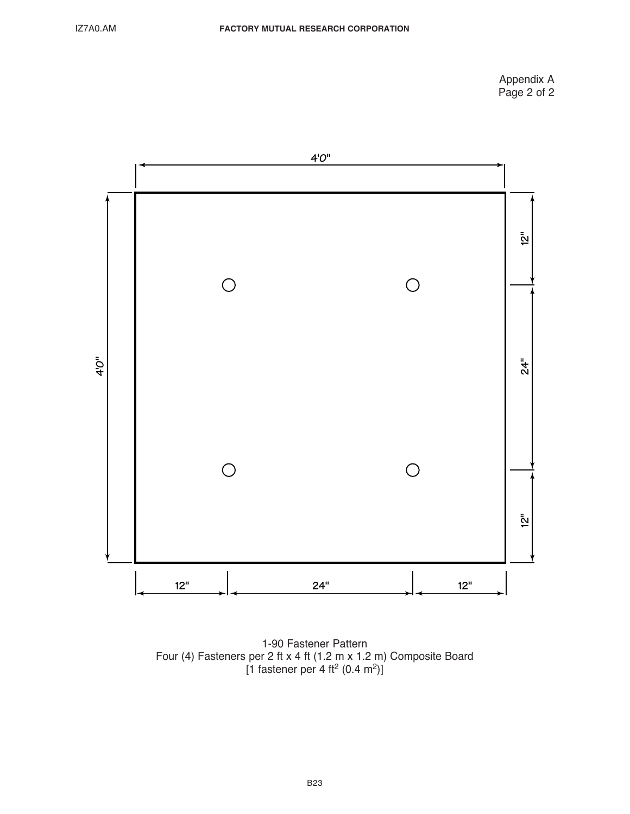Appendix A Page 2 of 2



1-90 Fastener Pattern Four (4) Fasteners per 2 ft x 4 ft (1.2 m x 1.2 m) Composite Board [1 fastener per 4 ft<sup>2</sup> (0.4 m<sup>2</sup>)]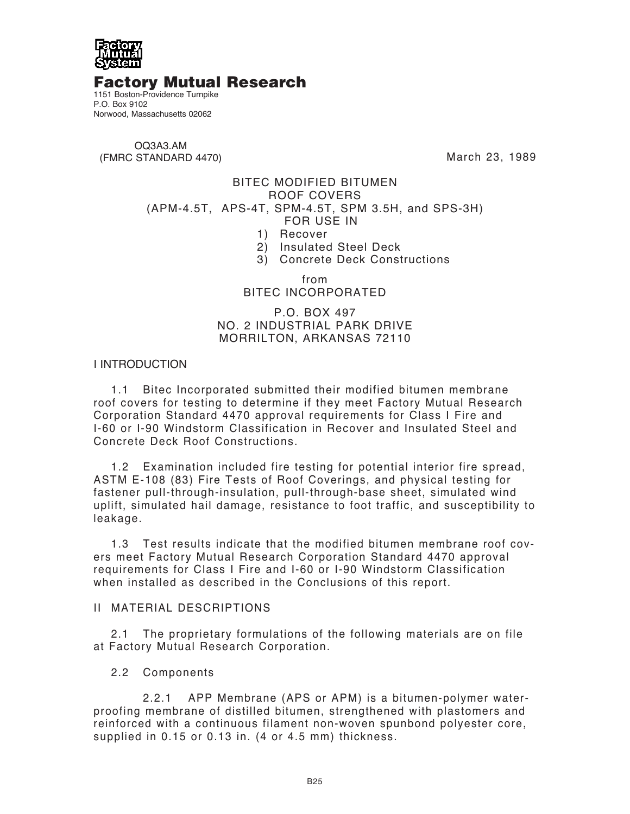

# Factory Mutual Research

1151 Boston-Providence Turnpike P.O. Box 9102 Norwood, Massachusetts 02062

OQ3A3.AM (FMRC STANDARD 4470)

March 23, 1989

# BITEC MODIFIED BITUMEN ROOF COVERS (APM-4.5T, APS-4T, SPM-4.5T, SPM 3.5H, and SPS-3H) FOR USE IN

- 1) Recover
- 2) Insulated Steel Deck
- 3) Concrete Deck Constructions

from BITEC INCORPORATED

P.O. BOX 497 NO. 2 INDUSTRIAL PARK DRIVE MORRILTON, ARKANSAS 72110

# I INTRODUCTION

1.1 Bitec Incorporated submitted their modified bitumen membrane roof covers for testing to determine if they meet Factory Mutual Research Corporation Standard 4470 approval requirements for Class I Fire and I-60 or I-90 Windstorm Classification in Recover and Insulated Steel and Concrete Deck Roof Constructions.

1.2 Examination included fire testing for potential interior fire spread, ASTM E-108 (83) Fire Tests of Roof Coverings, and physical testing for fastener pull-through-insulation, pull-through-base sheet, simulated wind uplift, simulated hail damage, resistance to foot traffic, and susceptibility to leakage.

1.3 Test results indicate that the modified bitumen membrane roof covers meet Factory Mutual Research Corporation Standard 4470 approval requirements for Class I Fire and I-60 or I-90 Windstorm Classification when installed as described in the Conclusions of this report.

### II MATERIAL DESCRIPTIONS

2.1 The proprietary formulations of the following materials are on file at Factory Mutual Research Corporation.

### 2.2 Components

 2.2.1 APP Membrane (APS or APM) is a bitumen-polymer waterproofing membrane of distilled bitumen, strengthened with plastomers and reinforced with a continuous filament non-woven spunbond polyester core, supplied in 0.15 or 0.13 in. (4 or 4.5 mm) thickness.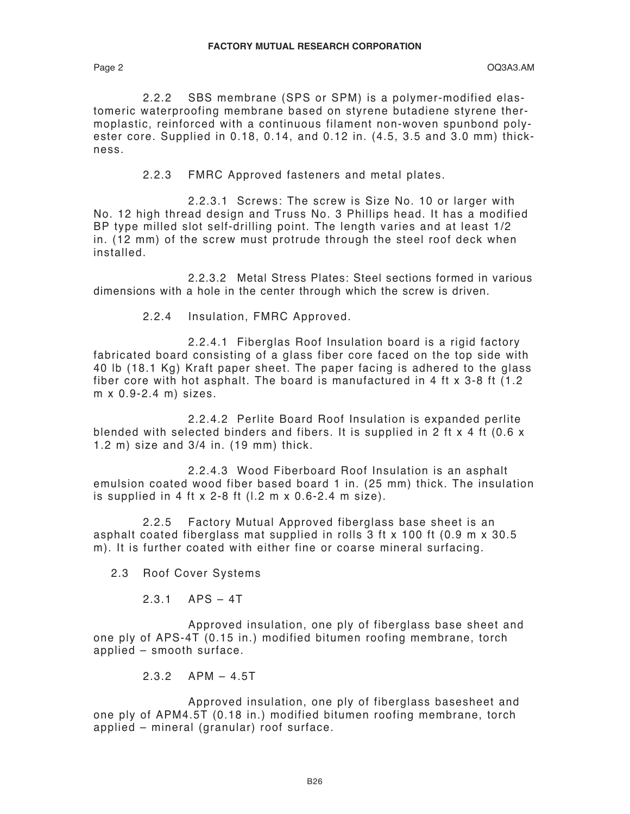2.2.2 SBS membrane (SPS or SPM) is a polymer-modified elastomeric waterproofing membrane based on styrene butadiene styrene thermoplastic, reinforced with a continuous filament non-woven spunbond polyester core. Supplied in 0.18, 0.14, and 0.12 in. (4.5, 3.5 and 3.0 mm) thickness.

2.2.3 FMRC Approved fasteners and metal plates.

 2.2.3.1 Screws: The screw is Size No. 10 or larger with No. 12 high thread design and Truss No. 3 Phillips head. It has a modified BP type milled slot self-drilling point. The length varies and at least 1/2 in. (12 mm) of the screw must protrude through the steel roof deck when installed.

 2.2.3.2 Metal Stress Plates: Steel sections formed in various dimensions with a hole in the center through which the screw is driven.

2.2.4 Insulation, FMRC Approved.

 2.2.4.1 Fiberglas Roof Insulation board is a rigid factory fabricated board consisting of a glass fiber core faced on the top side with 40 lb (18.1 Kg) Kraft paper sheet. The paper facing is adhered to the glass fiber core with hot asphalt. The board is manufactured in 4 ft x 3-8 ft (1.2 m x 0.9-2.4 m) sizes.

 2.2.4.2 Perlite Board Roof Insulation is expanded perlite blended with selected binders and fibers. It is supplied in 2 ft x 4 ft (0.6 x 1.2 m) size and 3/4 in. (19 mm) thick.

 2.2.4.3 Wood Fiberboard Roof Insulation is an asphalt emulsion coated wood fiber based board 1 in. (25 mm) thick. The insulation is supplied in 4 ft x 2-8 ft  $(1.2 \text{ m} \times 0.6 - 2.4 \text{ m} \text{ size}).$ 

 2.2.5 Factory Mutual Approved fiberglass base sheet is an asphalt coated fiberglass mat supplied in rolls 3 ft x 100 ft (0.9 m x 30.5 m). It is further coated with either fine or coarse mineral surfacing.

2.3 Roof Cover Systems

2.3.1 APS – 4T

 Approved insulation, one ply of fiberglass base sheet and one ply of APS-4T (0.15 in.) modified bitumen roofing membrane, torch applied – smooth surface.

2.3.2 APM – 4.5T

 Approved insulation, one ply of fiberglass basesheet and one ply of APM4.5T (0.18 in.) modified bitumen roofing membrane, torch applied – mineral (granular) roof surface.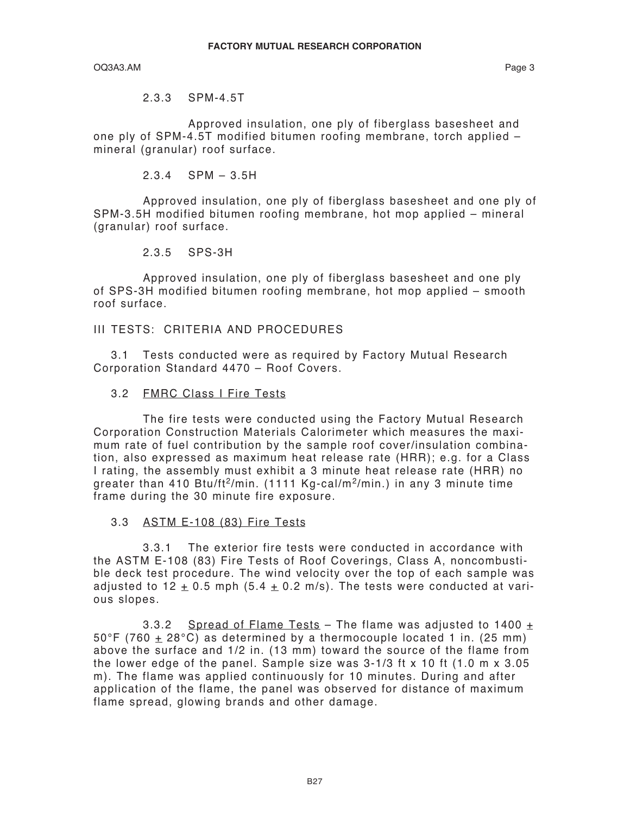OQ3A3.AM Page 3

2.3.3 SPM-4.5T

 Approved insulation, one ply of fiberglass basesheet and one ply of SPM-4.5T modified bitumen roofing membrane, torch applied – mineral (granular) roof surface.

2.3.4 SPM – 3.5H

 Approved insulation, one ply of fiberglass basesheet and one ply of SPM-3.5H modified bitumen roofing membrane, hot mop applied – mineral (granular) roof surface.

2.3.5 SPS-3H

 Approved insulation, one ply of fiberglass basesheet and one ply of SPS-3H modified bitumen roofing membrane, hot mop applied – smooth roof surface.

III TESTS: CRITERIA AND PROCEDURES

3.1 Tests conducted were as required by Factory Mutual Research Corporation Standard 4470 – Roof Covers.

3.2 FMRC Class I Fire Tests

 The fire tests were conducted using the Factory Mutual Research Corporation Construction Materials Calorimeter which measures the maximum rate of fuel contribution by the sample roof cover/insulation combination, also expressed as maximum heat release rate (HRR); e.g. for a Class I rating, the assembly must exhibit a 3 minute heat release rate (HRR) no greater than 410 Btu/ft<sup>2</sup>/min. (1111 Kg-cal/m<sup>2</sup>/min.) in any 3 minute time frame during the 30 minute fire exposure.

3.3 ASTM E-108 (83) Fire Tests

 3.3.1 The exterior fire tests were conducted in accordance with the ASTM E-108 (83) Fire Tests of Roof Coverings, Class A, noncombustible deck test procedure. The wind velocity over the top of each sample was adjusted to 12  $\pm$  0.5 mph (5.4  $\pm$  0.2 m/s). The tests were conducted at various slopes.

3.3.2 Spread of Flame Tests – The flame was adjusted to 1400  $\pm$ 50°F (760  $\pm$  28°C) as determined by a thermocouple located 1 in. (25 mm) above the surface and 1/2 in. (13 mm) toward the source of the flame from the lower edge of the panel. Sample size was 3-1/3 ft x 10 ft (1.0 m x 3.05 m). The flame was applied continuously for 10 minutes. During and after application of the flame, the panel was observed for distance of maximum flame spread, glowing brands and other damage.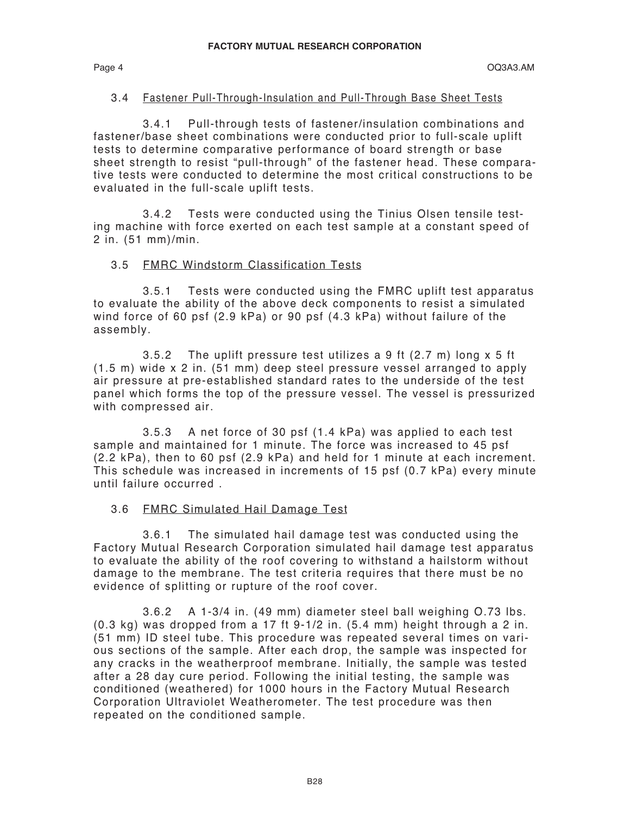### 3.4 Fastener Pull-Through-Insulation and Pull-Through Base Sheet Tests

 3.4.1 Pull-through tests of fastener/insulation combinations and fastener/base sheet combinations were conducted prior to full-scale uplift tests to determine comparative performance of board strength or base sheet strength to resist "pull-through" of the fastener head. These comparative tests were conducted to determine the most critical constructions to be evaluated in the full-scale uplift tests.

 3.4.2 Tests were conducted using the Tinius Olsen tensile testing machine with force exerted on each test sample at a constant speed of 2 in. (51 mm)/min.

### 3.5 FMRC Windstorm Classification Tests

 3.5.1 Tests were conducted using the FMRC uplift test apparatus to evaluate the ability of the above deck components to resist a simulated wind force of 60 psf (2.9 kPa) or 90 psf (4.3 kPa) without failure of the assembly.

 3.5.2 The uplift pressure test utilizes a 9 ft (2.7 m) long x 5 ft (1.5 m) wide x 2 in. (51 mm) deep steel pressure vessel arranged to apply air pressure at pre-established standard rates to the underside of the test panel which forms the top of the pressure vessel. The vessel is pressurized with compressed air.

 3.5.3 A net force of 30 psf (1.4 kPa) was applied to each test sample and maintained for 1 minute. The force was increased to 45 psf (2.2 kPa), then to 60 psf (2.9 kPa) and held for 1 minute at each increment. This schedule was increased in increments of 15 psf (0.7 kPa) every minute until failure occurred .

### 3.6 FMRC Simulated Hail Damage Test

 3.6.1 The simulated hail damage test was conducted using the Factory Mutual Research Corporation simulated hail damage test apparatus to evaluate the ability of the roof covering to withstand a hailstorm without damage to the membrane. The test criteria requires that there must be no evidence of splitting or rupture of the roof cover.

 3.6.2 A 1-3/4 in. (49 mm) diameter steel ball weighing O.73 lbs. (0.3 kg) was dropped from a 17 ft 9-1/2 in. (5.4 mm) height through a 2 in. (51 mm) ID steel tube. This procedure was repeated several times on various sections of the sample. After each drop, the sample was inspected for any cracks in the weatherproof membrane. Initially, the sample was tested after a 28 day cure period. Following the initial testing, the sample was conditioned (weathered) for 1000 hours in the Factory Mutual Research Corporation Ultraviolet Weatherometer. The test procedure was then repeated on the conditioned sample.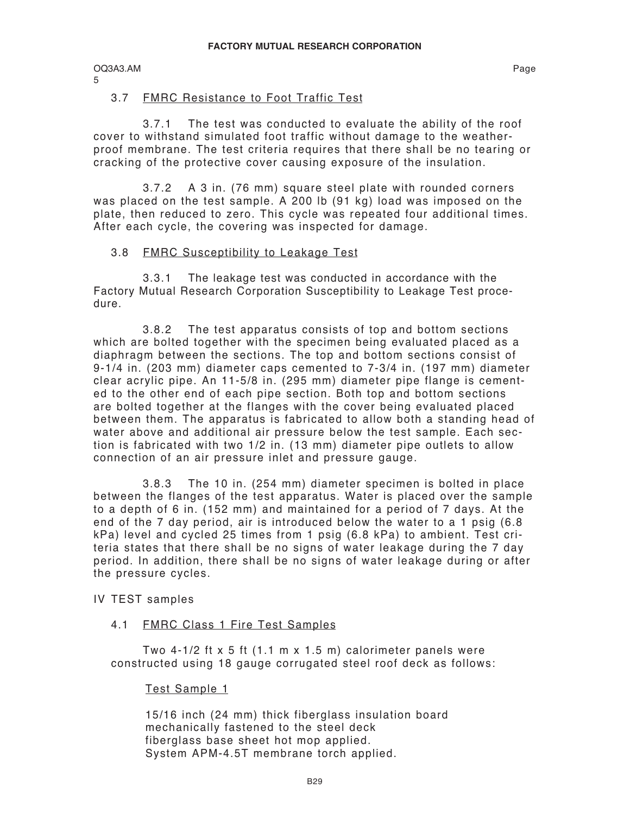5

# 3.7 FMRC Resistance to Foot Traffic Test

 3.7.1 The test was conducted to evaluate the ability of the roof cover to withstand simulated foot traffic without damage to the weatherproof membrane. The test criteria requires that there shall be no tearing or cracking of the protective cover causing exposure of the insulation.

 3.7.2 A 3 in. (76 mm) square steel plate with rounded corners was placed on the test sample. A 200 lb (91 kg) load was imposed on the plate, then reduced to zero. This cycle was repeated four additional times. After each cycle, the covering was inspected for damage.

# 3.8 FMRC Susceptibility to Leakage Test

 3.3.1 The leakage test was conducted in accordance with the Factory Mutual Research Corporation Susceptibility to Leakage Test procedure.

 3.8.2 The test apparatus consists of top and bottom sections which are bolted together with the specimen being evaluated placed as a diaphragm between the sections. The top and bottom sections consist of 9-1/4 in. (203 mm) diameter caps cemented to 7-3/4 in. (197 mm) diameter clear acrylic pipe. An 11-5/8 in. (295 mm) diameter pipe flange is cemented to the other end of each pipe section. Both top and bottom sections are bolted together at the flanges with the cover being evaluated placed between them. The apparatus is fabricated to allow both a standing head of water above and additional air pressure below the test sample. Each section is fabricated with two 1/2 in. (13 mm) diameter pipe outlets to allow connection of an air pressure inlet and pressure gauge.

 3.8.3 The 10 in. (254 mm) diameter specimen is bolted in place between the flanges of the test apparatus. Water is placed over the sample to a depth of 6 in. (152 mm) and maintained for a period of 7 days. At the end of the 7 day period, air is introduced below the water to a 1 psig (6.8 kPa) level and cycled 25 times from 1 psig (6.8 kPa) to ambient. Test criteria states that there shall be no signs of water leakage during the 7 day period. In addition, there shall be no signs of water leakage during or after the pressure cycles.

# IV TEST samples

### 4.1 FMRC Class 1 Fire Test Samples

 Two 4-1/2 ft x 5 ft (1.1 m x 1.5 m) calorimeter panels were constructed using 18 gauge corrugated steel roof deck as follows:

# Test Sample 1

15/16 inch (24 mm) thick fiberglass insulation board mechanically fastened to the steel deck fiberglass base sheet hot mop applied. System APM-4.5T membrane torch applied.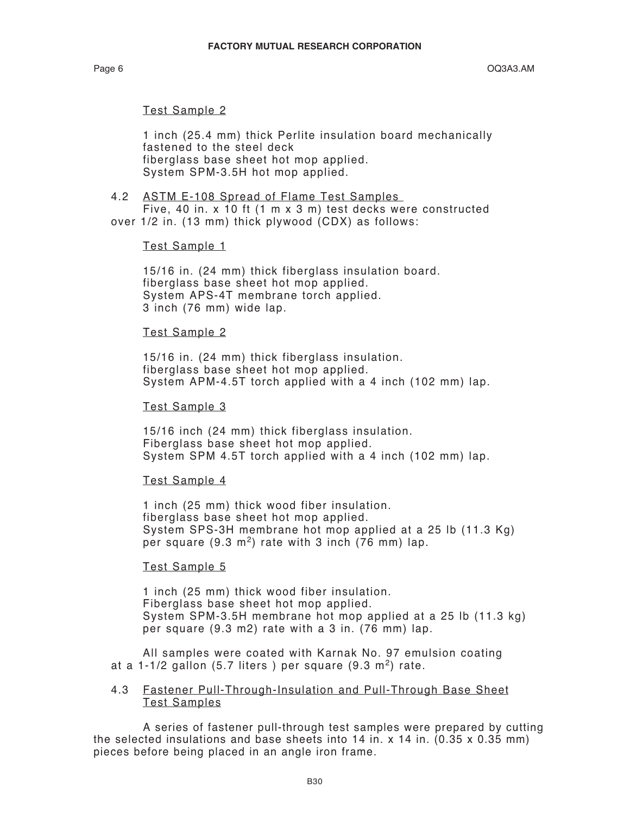### Test Sample 2

 1 inch (25.4 mm) thick Perlite insulation board mechanically fastened to the steel deck fiberglass base sheet hot mop applied. System SPM-3.5H hot mop applied.

#### 4.2 ASTM E-108 Spread of Flame Test Samples

 Five, 40 in. x 10 ft (1 m x 3 m) test decks were constructed over 1/2 in. (13 mm) thick plywood (CDX) as follows:

### Test Sample 1

 15/16 in. (24 mm) thick fiberglass insulation board. fiberglass base sheet hot mop applied. System APS-4T membrane torch applied. 3 inch (76 mm) wide lap.

### Test Sample 2

 15/16 in. (24 mm) thick fiberglass insulation. fiberglass base sheet hot mop applied. System APM-4.5T torch applied with a 4 inch (102 mm) lap.

### Test Sample 3

 15/16 inch (24 mm) thick fiberglass insulation. Fiberglass base sheet hot mop applied. System SPM 4.5T torch applied with a 4 inch (102 mm) lap.

### Test Sample 4

 1 inch (25 mm) thick wood fiber insulation. fiberglass base sheet hot mop applied. System SPS-3H membrane hot mop applied at a 25 lb (11.3 Kg) per square  $(9.3 \text{ m}^2)$  rate with 3 inch  $(76 \text{ mm})$  lap.

### Test Sample 5

 1 inch (25 mm) thick wood fiber insulation. Fiberglass base sheet hot mop applied. System SPM-3.5H membrane hot mop applied at a 25 lb (11.3 kg) per square (9.3 m2) rate with a 3 in. (76 mm) lap.

 All samples were coated with Karnak No. 97 emulsion coating at a 1-1/2 gallon (5.7 liters) per square  $(9.3 \text{ m}^2)$  rate.

### 4.3 Fastener Pull-Through-Insulation and Pull-Through Base Sheet Test Samples

 A series of fastener pull-through test samples were prepared by cutting the selected insulations and base sheets into  $14$  in. x  $14$  in.  $(0.35 \times 0.35 \text{ mm})$ pieces before being placed in an angle iron frame.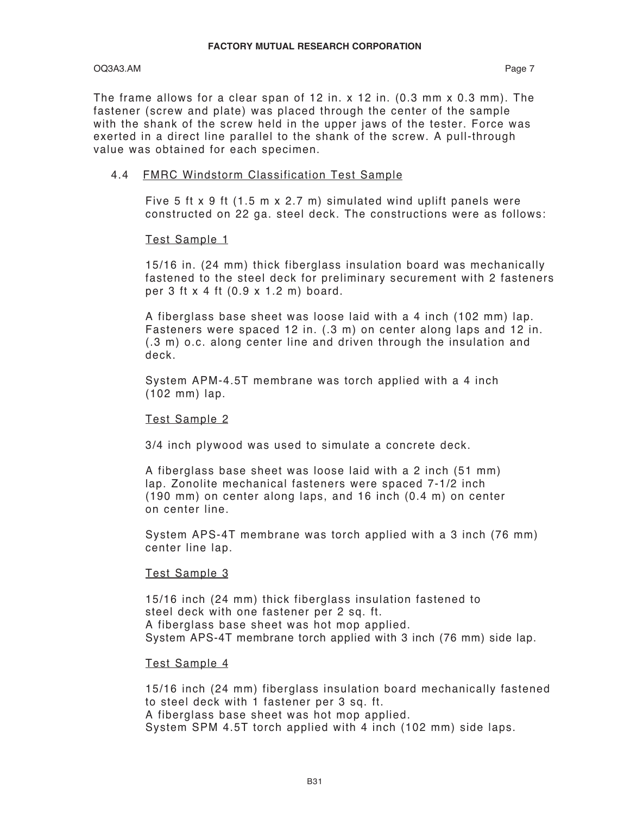### OQ3A3.AM Page 7

The frame allows for a clear span of 12 in. x 12 in.  $(0.3 \text{ mm} \times 0.3 \text{ mm})$ . The fastener (screw and plate) was placed through the center of the sample with the shank of the screw held in the upper jaws of the tester. Force was exerted in a direct line parallel to the shank of the screw. A pull-through value was obtained for each specimen.

### 4.4 FMRC Windstorm Classification Test Sample

Five 5 ft x 9 ft (1.5 m x 2.7 m) simulated wind uplift panels were constructed on 22 ga. steel deck. The constructions were as follows:

### Test Sample 1

15/16 in. (24 mm) thick fiberglass insulation board was mechanically fastened to the steel deck for preliminary securement with 2 fasteners per 3 ft x 4 ft (0.9 x 1.2 m) board.

A fiberglass base sheet was loose laid with a 4 inch (102 mm) lap. Fasteners were spaced 12 in. (.3 m) on center along laps and 12 in. (.3 m) o.c. along center line and driven through the insulation and deck.

System APM-4.5T membrane was torch applied with a 4 inch (102 mm) lap.

### Test Sample 2

3/4 inch plywood was used to simulate a concrete deck.

A fiberglass base sheet was loose laid with a 2 inch (51 mm) lap. Zonolite mechanical fasteners were spaced 7-1/2 inch (190 mm) on center along laps, and 16 inch (0.4 m) on center on center line.

System APS-4T membrane was torch applied with a 3 inch (76 mm) center line lap.

### Test Sample 3

15/16 inch (24 mm) thick fiberglass insulation fastened to steel deck with one fastener per 2 sq. ft. A fiberglass base sheet was hot mop applied. System APS-4T membrane torch applied with 3 inch (76 mm) side lap.

### Test Sample 4

15/16 inch (24 mm) fiberglass insulation board mechanically fastened to steel deck with 1 fastener per 3 sq. ft. A fiberglass base sheet was hot mop applied. System SPM 4.5T torch applied with 4 inch (102 mm) side laps.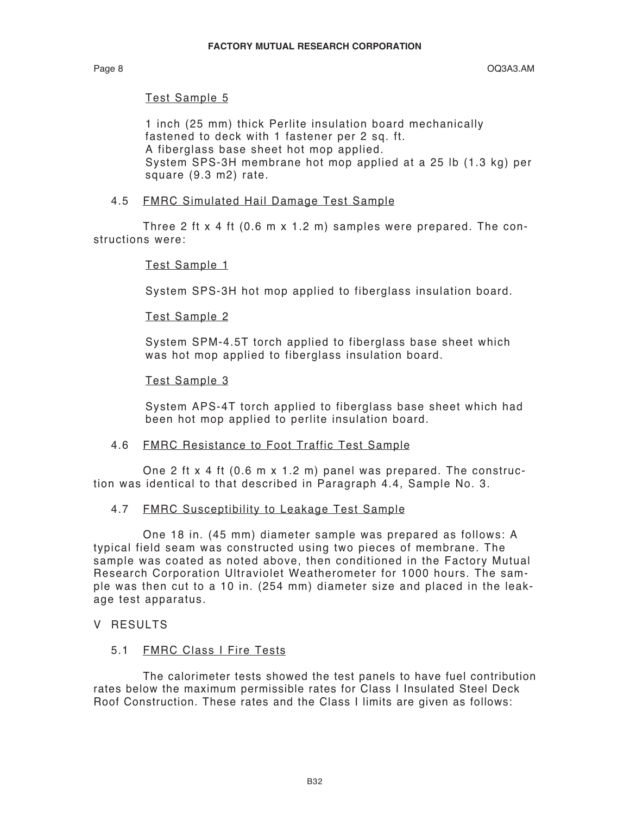### Test Sample 5

1 inch (25 mm) thick Perlite insulation board mechanically fastened to deck with 1 fastener per 2 sq. ft. A fiberglass base sheet hot mop applied. System SPS-3H membrane hot mop applied at a 25 lb (1.3 kg) per square (9.3 m2) rate.

### 4.5 FMRC Simulated Hail Damage Test Sample

 Three 2 ft x 4 ft (0.6 m x 1.2 m) samples were prepared. The constructions were:

### Test Sample 1

System SPS-3H hot mop applied to fiberglass insulation board.

### Test Sample 2

System SPM-4.5T torch applied to fiberglass base sheet which was hot mop applied to fiberglass insulation board.

### Test Sample 3

System APS-4T torch applied to fiberglass base sheet which had been hot mop applied to perlite insulation board.

### 4.6 FMRC Resistance to Foot Traffic Test Sample

 One 2 ft x 4 ft (0.6 m x 1.2 m) panel was prepared. The construction was identical to that described in Paragraph 4.4, Sample No. 3.

### 4.7 FMRC Susceptibility to Leakage Test Sample

 One 18 in. (45 mm) diameter sample was prepared as follows: A typical field seam was constructed using two pieces of membrane. The sample was coated as noted above, then conditioned in the Factory Mutual Research Corporation Ultraviolet Weatherometer for 1000 hours. The sample was then cut to a 10 in. (254 mm) diameter size and placed in the leakage test apparatus.

### V RESULTS

### 5.1 FMRC Class I Fire Tests

 The calorimeter tests showed the test panels to have fuel contribution rates below the maximum permissible rates for Class I Insulated Steel Deck Roof Construction. These rates and the Class I limits are given as follows: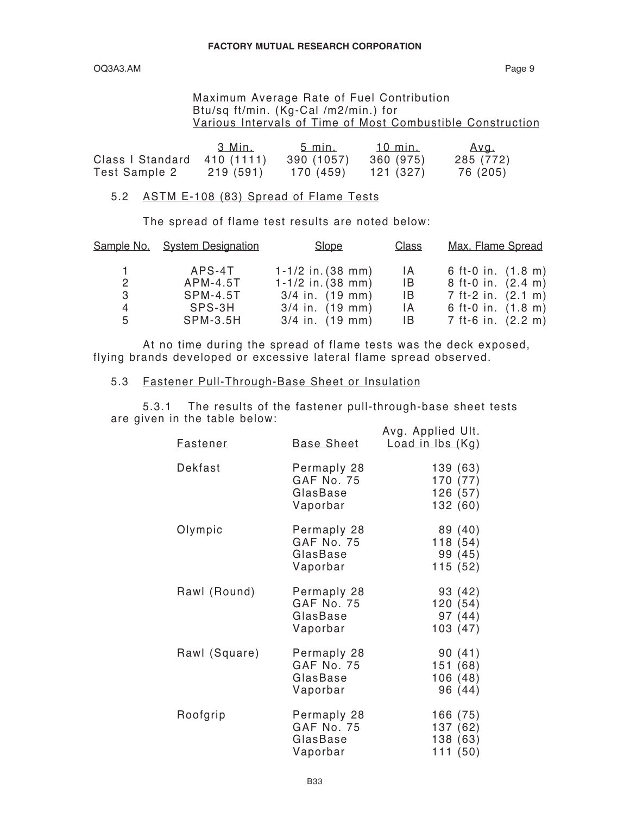OQ3A3.AM Page 9

### Maximum Average Rate of Fuel Contribution Btu/sq ft/min. (Kg-Cal /m2/min.) for Various Intervals of Time of Most Combustible Construction

|                  | 3 Min.     | 5 min.     | 10 min.   | <u>Avg.</u> |
|------------------|------------|------------|-----------|-------------|
| Class I Standard | 410 (1111) | 390 (1057) | 360 (975) | 285 (772)   |
| Test Sample 2    | 219 (591)  | 170 (459)  | 121 (327) | 76 (205)    |

### 5.2 ASTM E-108 (83) Spread of Flame Tests

The spread of flame test results are noted below:

|              | Sample No. System Designation | Slope                       | Class | Max. Flame Spread  |
|--------------|-------------------------------|-----------------------------|-------|--------------------|
|              | APS-4T                        | $1 - 1/2$ in. (38 mm)       | 1A    | 6 ft-0 in. (1.8 m) |
| $\mathbf{2}$ | $APM-4.5T$                    | $1 - 1/2$ in. (38 mm)       | IB.   | 8 ft-0 in. (2.4 m) |
| 3            | SPM-4.5T                      | $3/4$ in. $(19 \text{ mm})$ | IB.   | 7 ft-2 in. (2.1 m) |
| 4            | SPS-3H                        | $3/4$ in. $(19 \text{ mm})$ | IA.   | 6 ft-0 in. (1.8 m) |
| 5            | <b>SPM-3.5H</b>               | $3/4$ in. $(19 \text{ mm})$ | IB.   | 7 ft-6 in. (2.2 m) |

 At no time during the spread of flame tests was the deck exposed, flying brands developed or excessive lateral flame spread observed.

### 5.3 Fastener Pull-Through-Base Sheet or Insulation

 5.3.1 The results of the fastener pull-through-base sheet tests are given in the table below: Avg. Applied IIIt

| <b>Fastener</b> | <b>Base Sheet</b>                                 | Avy. Applied UIL.<br>Load in Ibs (Kg)       |
|-----------------|---------------------------------------------------|---------------------------------------------|
| Dekfast         | Permaply 28<br>GAF No. 75<br>GlasBase<br>Vaporbar | 139 (63)<br>170 (77)<br>126 (57)<br>132(60) |
| Olympic         | Permaply 28<br>GAF No. 75<br>GlasBase<br>Vaporbar | 89 (40)<br>118(54)<br>99 (45)<br>115(52)    |
| Rawl (Round)    | Permaply 28<br>GAF No. 75<br>GlasBase<br>Vaporbar | 93 (42)<br>120(54)<br>97 (44)<br>103(47)    |
| Rawl (Square)   | Permaply 28<br>GAF No. 75<br>GlasBase<br>Vaporbar | 90(41)<br>151 (68)<br>106 (48)<br>96 (44)   |
| Roofgrip        | Permaply 28<br>GAF No. 75<br>GlasBase<br>Vaporbar | 166 (75)<br>137 (62)<br>138 (63)<br>111(50) |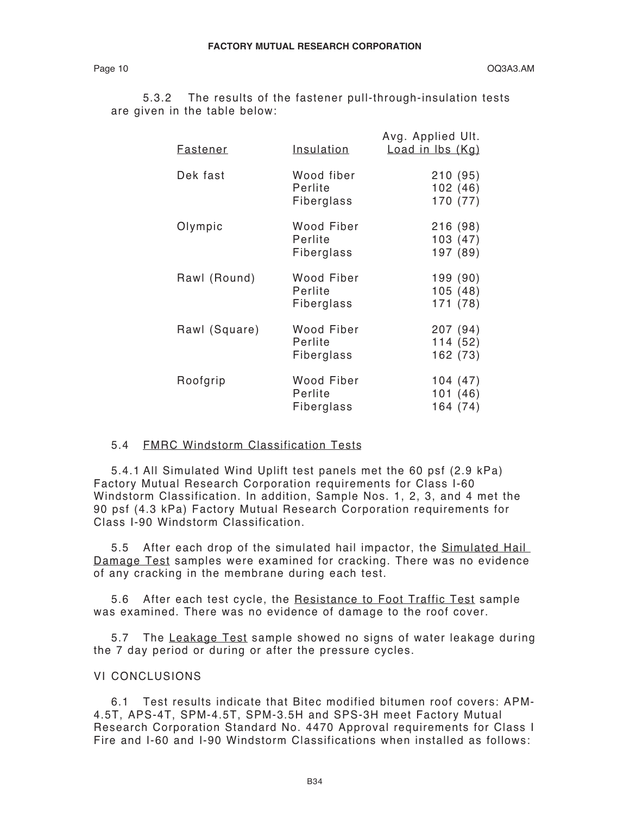5.3.2 The results of the fastener pull-through-insulation tests are given in the table below:

| <b>Fastener</b> | <u>Insulation</u>                   | Avg. Applied Ult.<br>Load in Ibs (Kg) |
|-----------------|-------------------------------------|---------------------------------------|
| Dek fast        | Wood fiber<br>Perlite<br>Fiberglass | 210 (95)<br>102(46)<br>170 (77)       |
| Olympic         | Wood Fiber<br>Perlite<br>Fiberglass | 216(98)<br>103(47)<br>197 (89)        |
| Rawl (Round)    | Wood Fiber<br>Perlite<br>Fiberglass | 199 (90)<br>105(48)<br>171 (78)       |
| Rawl (Square)   | Wood Fiber<br>Perlite<br>Fiberglass | 207 (94)<br>114(52)<br>162 (73)       |
| Roofgrip        | Wood Fiber<br>Perlite<br>Fiberglass | 104(47)<br>101(46)<br>164 (74)        |

### 5.4 FMRC Windstorm Classification Tests

5.4.1 All Simulated Wind Uplift test panels met the 60 psf (2.9 kPa) Factory Mutual Research Corporation requirements for Class I-60 Windstorm Classification. In addition, Sample Nos. 1, 2, 3, and 4 met the 90 psf (4.3 kPa) Factory Mutual Research Corporation requirements for Class I-90 Windstorm Classification.

5.5 After each drop of the simulated hail impactor, the Simulated Hail Damage Test samples were examined for cracking. There was no evidence of any cracking in the membrane during each test.

5.6 After each test cycle, the Resistance to Foot Traffic Test sample was examined. There was no evidence of damage to the roof cover.

5.7 The Leakage Test sample showed no signs of water leakage during the 7 day period or during or after the pressure cycles.

### VI CONCLUSIONS

6.1 Test results indicate that Bitec modified bitumen roof covers: APM-4.5T, APS-4T, SPM-4.5T, SPM-3.5H and SPS-3H meet Factory Mutual Research Corporation Standard No. 4470 Approval requirements for Class I Fire and I-60 and I-90 Windstorm Classifications when installed as follows: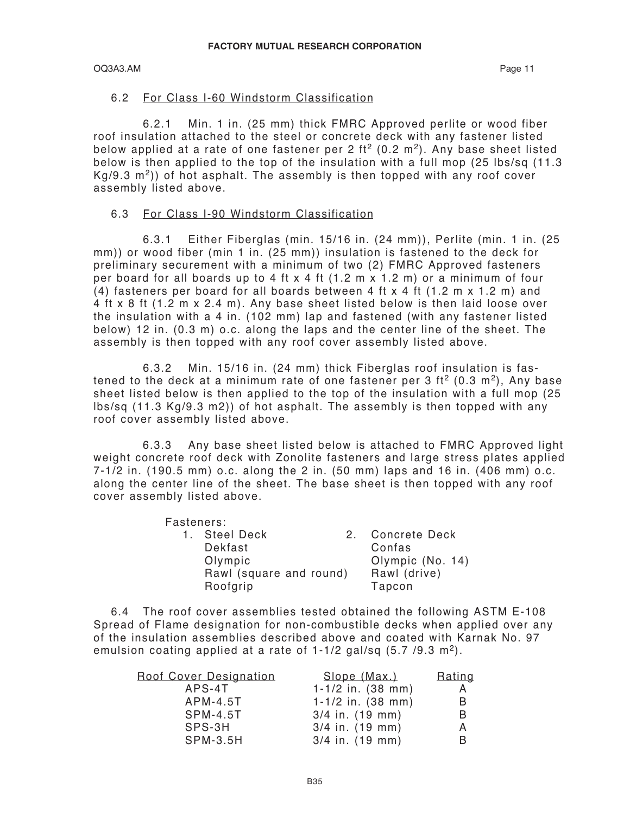### OQ3A3.AM Page 11

### 6.2 For Class I-60 Windstorm Classification

 6.2.1 Min. 1 in. (25 mm) thick FMRC Approved perlite or wood fiber roof insulation attached to the steel or concrete deck with any fastener listed below applied at a rate of one fastener per 2 ft<sup>2</sup> (0.2 m<sup>2</sup>). Any base sheet listed below is then applied to the top of the insulation with a full mop (25 lbs/sq (11.3  $Kg/9.3$  m<sup>2</sup>)) of hot asphalt. The assembly is then topped with any roof cover assembly listed above.

### 6.3 For Class I-90 Windstorm Classification

 6.3.1 Either Fiberglas (min. 15/16 in. (24 mm)), Perlite (min. 1 in. (25 mm)) or wood fiber (min 1 in. (25 mm)) insulation is fastened to the deck for preliminary securement with a minimum of two (2) FMRC Approved fasteners per board for all boards up to 4 ft x 4 ft (1.2 m x 1.2 m) or a minimum of four (4) fasteners per board for all boards between 4 ft x 4 ft (1.2 m x 1.2 m) and 4 ft x 8 ft (1.2 m x 2.4 m). Any base sheet listed below is then laid loose over the insulation with a 4 in. (102 mm) lap and fastened (with any fastener listed below) 12 in. (0.3 m) o.c. along the laps and the center line of the sheet. The assembly is then topped with any roof cover assembly listed above.

 6.3.2 Min. 15/16 in. (24 mm) thick Fiberglas roof insulation is fastened to the deck at a minimum rate of one fastener per 3 ft<sup>2</sup> (0.3 m<sup>2</sup>), Any base sheet listed below is then applied to the top of the insulation with a full mop (25 lbs/sq (11.3 Kg/9.3 m2)) of hot asphalt. The assembly is then topped with any roof cover assembly listed above.

 6.3.3 Any base sheet listed below is attached to FMRC Approved light weight concrete roof deck with Zonolite fasteners and large stress plates applied 7-1/2 in. (190.5 mm) o.c. along the 2 in. (50 mm) laps and 16 in. (406 mm) o.c. along the center line of the sheet. The base sheet is then topped with any roof cover assembly listed above.

Fasteners:

| ι ασισποισ. |                         |   |                  |
|-------------|-------------------------|---|------------------|
|             | 1. Steel Deck           | 2 | Concrete Deck    |
|             | Dekfast                 |   | Confas           |
|             | Olympic                 |   | Olympic (No. 14) |
|             | Rawl (square and round) |   | Rawl (drive)     |
|             | Roofgrip                |   | Tapcon           |
|             |                         |   |                  |

6.4 The roof cover assemblies tested obtained the following ASTM E-108 Spread of Flame designation for non-combustible decks when applied over any of the insulation assemblies described above and coated with Karnak No. 97 emulsion coating applied at a rate of  $1-1/2$  gal/sq (5.7 /9.3 m<sup>2</sup>).

| Roof Cover Designation | <u>Slope (Max.)</u>         | Rating |
|------------------------|-----------------------------|--------|
| APS-4T                 | $1-1/2$ in. (38 mm)         | A      |
| $APM-4.5T$             | $1 - 1/2$ in. (38 mm)       | B      |
| <b>SPM-4.5T</b>        | $3/4$ in. $(19$ mm)         | B      |
| SPS-3H                 | $3/4$ in. $(19 \text{ mm})$ | A      |
| <b>SPM-3.5H</b>        | $3/4$ in. $(19$ mm)         | В      |